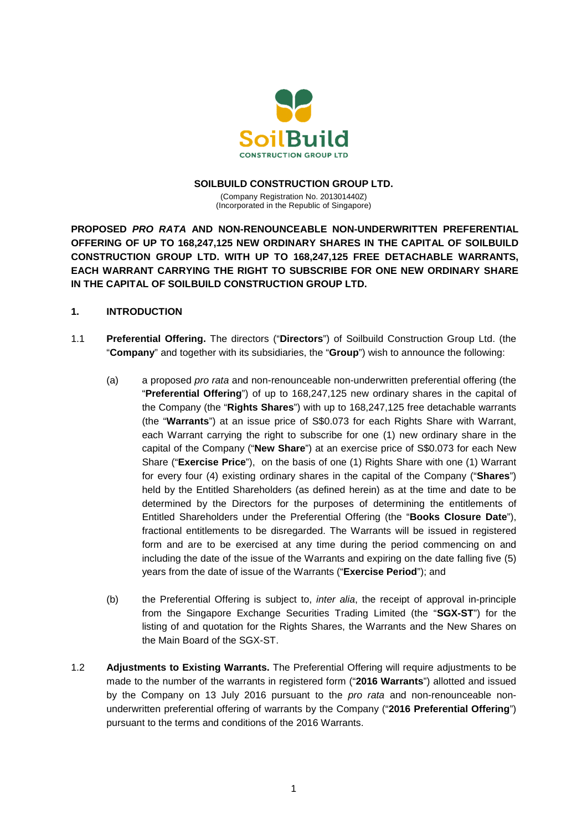

#### **SOILBUILD CONSTRUCTION GROUP LTD.**

(Company Registration No. 201301440Z) (Incorporated in the Republic of Singapore)

**PROPOSED** *PRO RATA* **AND NON-RENOUNCEABLE NON-UNDERWRITTEN PREFERENTIAL OFFERING OF UP TO 168,247,125 NEW ORDINARY SHARES IN THE CAPITAL OF SOILBUILD CONSTRUCTION GROUP LTD. WITH UP TO 168,247,125 FREE DETACHABLE WARRANTS, EACH WARRANT CARRYING THE RIGHT TO SUBSCRIBE FOR ONE NEW ORDINARY SHARE IN THE CAPITAL OF SOILBUILD CONSTRUCTION GROUP LTD.**

#### **1. INTRODUCTION**

- 1.1 **Preferential Offering.** The directors ("**Directors**") of Soilbuild Construction Group Ltd. (the "**Company**" and together with its subsidiaries, the "**Group**") wish to announce the following:
	- (a) a proposed *pro rata* and non-renounceable non-underwritten preferential offering (the "**Preferential Offering**") of up to 168,247,125 new ordinary shares in the capital of the Company (the "**Rights Shares**") with up to 168,247,125 free detachable warrants (the "**Warrants**") at an issue price of S\$0.073 for each Rights Share with Warrant, each Warrant carrying the right to subscribe for one (1) new ordinary share in the capital of the Company ("**New Share**") at an exercise price of S\$0.073 for each New Share ("**Exercise Price**"), on the basis of one (1) Rights Share with one (1) Warrant for every four (4) existing ordinary shares in the capital of the Company ("**Shares**") held by the Entitled Shareholders (as defined herein) as at the time and date to be determined by the Directors for the purposes of determining the entitlements of Entitled Shareholders under the Preferential Offering (the "**Books Closure Date**"), fractional entitlements to be disregarded. The Warrants will be issued in registered form and are to be exercised at any time during the period commencing on and including the date of the issue of the Warrants and expiring on the date falling five (5) years from the date of issue of the Warrants ("**Exercise Period**"); and
	- (b) the Preferential Offering is subject to, *inter alia*, the receipt of approval in-principle from the Singapore Exchange Securities Trading Limited (the "**SGX-ST**") for the listing of and quotation for the Rights Shares, the Warrants and the New Shares on the Main Board of the SGX-ST.
- 1.2 **Adjustments to Existing Warrants.** The Preferential Offering will require adjustments to be made to the number of the warrants in registered form ("**2016 Warrants**") allotted and issued by the Company on 13 July 2016 pursuant to the *pro rata* and non-renounceable nonunderwritten preferential offering of warrants by the Company ("**2016 Preferential Offering**") pursuant to the terms and conditions of the 2016 Warrants.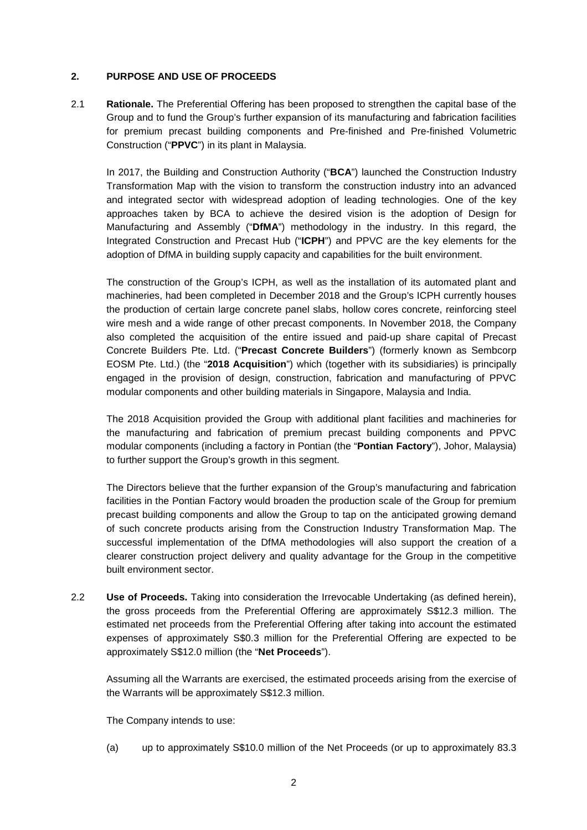## **2. PURPOSE AND USE OF PROCEEDS**

2.1 **Rationale.** The Preferential Offering has been proposed to strengthen the capital base of the Group and to fund the Group's further expansion of its manufacturing and fabrication facilities for premium precast building components and Pre-finished and Pre-finished Volumetric Construction ("**PPVC**") in its plant in Malaysia.

In 2017, the Building and Construction Authority ("**BCA**") launched the Construction Industry Transformation Map with the vision to transform the construction industry into an advanced and integrated sector with widespread adoption of leading technologies. One of the key approaches taken by BCA to achieve the desired vision is the adoption of Design for Manufacturing and Assembly ("**DfMA**") methodology in the industry. In this regard, the Integrated Construction and Precast Hub ("**ICPH**") and PPVC are the key elements for the adoption of DfMA in building supply capacity and capabilities for the built environment.

The construction of the Group's ICPH, as well as the installation of its automated plant and machineries, had been completed in December 2018 and the Group's ICPH currently houses the production of certain large concrete panel slabs, hollow cores concrete, reinforcing steel wire mesh and a wide range of other precast components. In November 2018, the Company also completed the acquisition of the entire issued and paid-up share capital of Precast Concrete Builders Pte. Ltd. ("**Precast Concrete Builders**") (formerly known as Sembcorp EOSM Pte. Ltd.) (the "**2018 Acquisition**") which (together with its subsidiaries) is principally engaged in the provision of design, construction, fabrication and manufacturing of PPVC modular components and other building materials in Singapore, Malaysia and India.

The 2018 Acquisition provided the Group with additional plant facilities and machineries for the manufacturing and fabrication of premium precast building components and PPVC modular components (including a factory in Pontian (the "**Pontian Factory**"), Johor, Malaysia) to further support the Group's growth in this segment.

The Directors believe that the further expansion of the Group's manufacturing and fabrication facilities in the Pontian Factory would broaden the production scale of the Group for premium precast building components and allow the Group to tap on the anticipated growing demand of such concrete products arising from the Construction Industry Transformation Map. The successful implementation of the DfMA methodologies will also support the creation of a clearer construction project delivery and quality advantage for the Group in the competitive built environment sector.

2.2 **Use of Proceeds.** Taking into consideration the Irrevocable Undertaking (as defined herein), the gross proceeds from the Preferential Offering are approximately S\$12.3 million. The estimated net proceeds from the Preferential Offering after taking into account the estimated expenses of approximately S\$0.3 million for the Preferential Offering are expected to be approximately S\$12.0 million (the "**Net Proceeds**").

Assuming all the Warrants are exercised, the estimated proceeds arising from the exercise of the Warrants will be approximately S\$12.3 million.

The Company intends to use:

(a) up to approximately S\$10.0 million of the Net Proceeds (or up to approximately 83.3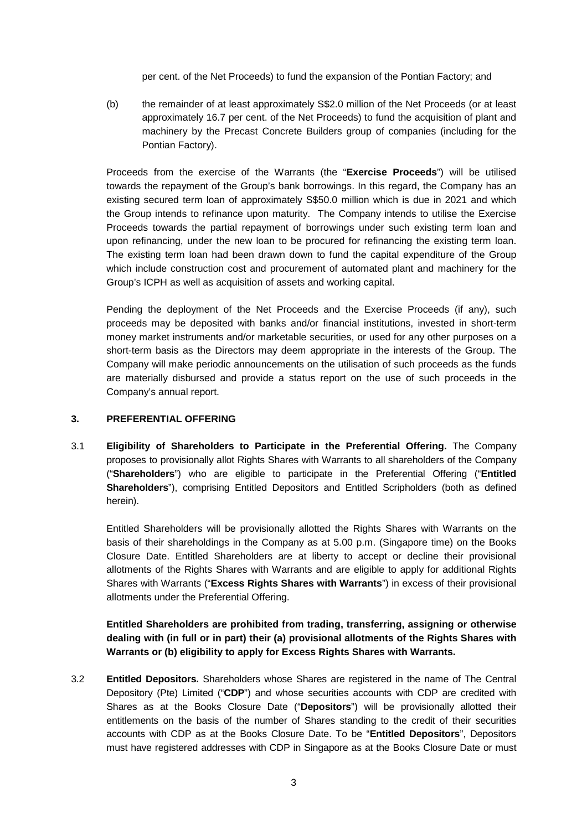per cent. of the Net Proceeds) to fund the expansion of the Pontian Factory; and

(b) the remainder of at least approximately S\$2.0 million of the Net Proceeds (or at least approximately 16.7 per cent. of the Net Proceeds) to fund the acquisition of plant and machinery by the Precast Concrete Builders group of companies (including for the Pontian Factory).

Proceeds from the exercise of the Warrants (the "**Exercise Proceeds**") will be utilised towards the repayment of the Group's bank borrowings. In this regard, the Company has an existing secured term loan of approximately S\$50.0 million which is due in 2021 and which the Group intends to refinance upon maturity. The Company intends to utilise the Exercise Proceeds towards the partial repayment of borrowings under such existing term loan and upon refinancing, under the new loan to be procured for refinancing the existing term loan. The existing term loan had been drawn down to fund the capital expenditure of the Group which include construction cost and procurement of automated plant and machinery for the Group's ICPH as well as acquisition of assets and working capital.

Pending the deployment of the Net Proceeds and the Exercise Proceeds (if any), such proceeds may be deposited with banks and/or financial institutions, invested in short-term money market instruments and/or marketable securities, or used for any other purposes on a short-term basis as the Directors may deem appropriate in the interests of the Group. The Company will make periodic announcements on the utilisation of such proceeds as the funds are materially disbursed and provide a status report on the use of such proceeds in the Company's annual report.

## **3. PREFERENTIAL OFFERING**

3.1 **Eligibility of Shareholders to Participate in the Preferential Offering.** The Company proposes to provisionally allot Rights Shares with Warrants to all shareholders of the Company ("**Shareholders**") who are eligible to participate in the Preferential Offering ("**Entitled Shareholders**"), comprising Entitled Depositors and Entitled Scripholders (both as defined herein).

Entitled Shareholders will be provisionally allotted the Rights Shares with Warrants on the basis of their shareholdings in the Company as at 5.00 p.m. (Singapore time) on the Books Closure Date. Entitled Shareholders are at liberty to accept or decline their provisional allotments of the Rights Shares with Warrants and are eligible to apply for additional Rights Shares with Warrants ("**Excess Rights Shares with Warrants**") in excess of their provisional allotments under the Preferential Offering.

**Entitled Shareholders are prohibited from trading, transferring, assigning or otherwise dealing with (in full or in part) their (a) provisional allotments of the Rights Shares with Warrants or (b) eligibility to apply for Excess Rights Shares with Warrants.**

3.2 **Entitled Depositors.** Shareholders whose Shares are registered in the name of The Central Depository (Pte) Limited ("**CDP**") and whose securities accounts with CDP are credited with Shares as at the Books Closure Date ("**Depositors**") will be provisionally allotted their entitlements on the basis of the number of Shares standing to the credit of their securities accounts with CDP as at the Books Closure Date. To be "**Entitled Depositors**", Depositors must have registered addresses with CDP in Singapore as at the Books Closure Date or must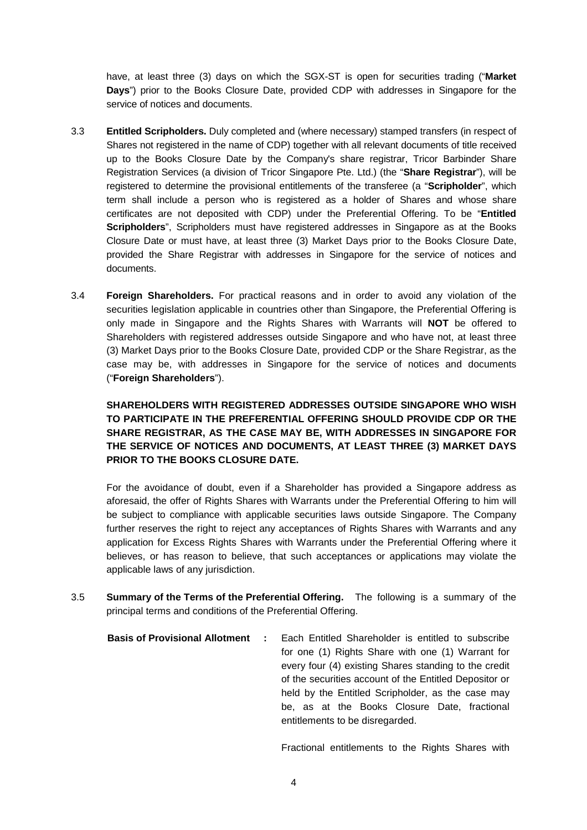have, at least three (3) days on which the SGX-ST is open for securities trading ("**Market Days**") prior to the Books Closure Date, provided CDP with addresses in Singapore for the service of notices and documents.

- 3.3 **Entitled Scripholders.** Duly completed and (where necessary) stamped transfers (in respect of Shares not registered in the name of CDP) together with all relevant documents of title received up to the Books Closure Date by the Company's share registrar, Tricor Barbinder Share Registration Services (a division of Tricor Singapore Pte. Ltd.) (the "**Share Registrar**"), will be registered to determine the provisional entitlements of the transferee (a "**Scripholder**", which term shall include a person who is registered as a holder of Shares and whose share certificates are not deposited with CDP) under the Preferential Offering. To be "**Entitled Scripholders**", Scripholders must have registered addresses in Singapore as at the Books Closure Date or must have, at least three (3) Market Days prior to the Books Closure Date, provided the Share Registrar with addresses in Singapore for the service of notices and documents.
- 3.4 **Foreign Shareholders.** For practical reasons and in order to avoid any violation of the securities legislation applicable in countries other than Singapore, the Preferential Offering is only made in Singapore and the Rights Shares with Warrants will **NOT** be offered to Shareholders with registered addresses outside Singapore and who have not, at least three (3) Market Days prior to the Books Closure Date, provided CDP or the Share Registrar, as the case may be, with addresses in Singapore for the service of notices and documents ("**Foreign Shareholders**").

# **SHAREHOLDERS WITH REGISTERED ADDRESSES OUTSIDE SINGAPORE WHO WISH TO PARTICIPATE IN THE PREFERENTIAL OFFERING SHOULD PROVIDE CDP OR THE SHARE REGISTRAR, AS THE CASE MAY BE, WITH ADDRESSES IN SINGAPORE FOR THE SERVICE OF NOTICES AND DOCUMENTS, AT LEAST THREE (3) MARKET DAYS PRIOR TO THE BOOKS CLOSURE DATE.**

For the avoidance of doubt, even if a Shareholder has provided a Singapore address as aforesaid, the offer of Rights Shares with Warrants under the Preferential Offering to him will be subject to compliance with applicable securities laws outside Singapore. The Company further reserves the right to reject any acceptances of Rights Shares with Warrants and any application for Excess Rights Shares with Warrants under the Preferential Offering where it believes, or has reason to believe, that such acceptances or applications may violate the applicable laws of any jurisdiction.

- 3.5 **Summary of the Terms of the Preferential Offering.** The following is a summary of the principal terms and conditions of the Preferential Offering.
	- **Basis of Provisional Allotment :** Each Entitled Shareholder is entitled to subscribe for one (1) Rights Share with one (1) Warrant for every four (4) existing Shares standing to the credit of the securities account of the Entitled Depositor or held by the Entitled Scripholder, as the case may be, as at the Books Closure Date, fractional entitlements to be disregarded.

Fractional entitlements to the Rights Shares with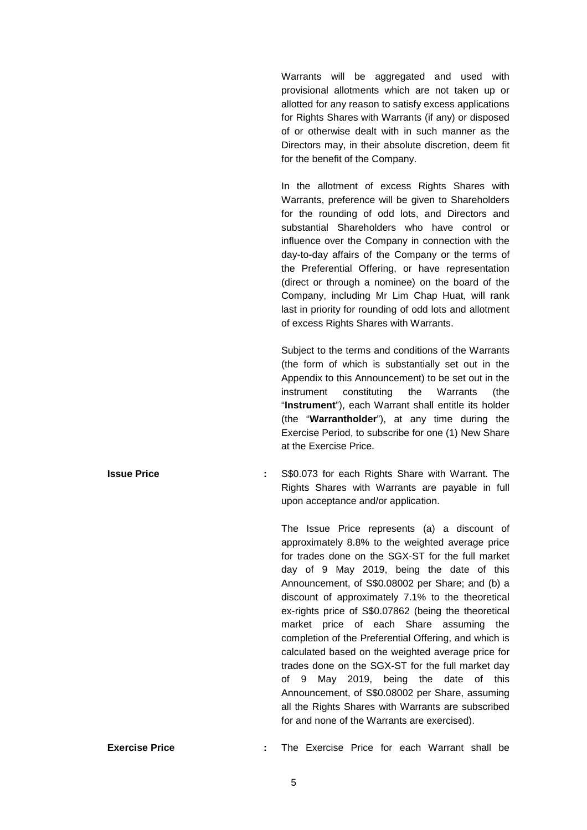Warrants will be aggregated and used with provisional allotments which are not taken up or allotted for any reason to satisfy excess applications for Rights Shares with Warrants (if any) or disposed of or otherwise dealt with in such manner as the Directors may, in their absolute discretion, deem fit for the benefit of the Company.

In the allotment of excess Rights Shares with Warrants, preference will be given to Shareholders for the rounding of odd lots, and Directors and substantial Shareholders who have control or influence over the Company in connection with the day-to-day affairs of the Company or the terms of the Preferential Offering, or have representation (direct or through a nominee) on the board of the Company, including Mr Lim Chap Huat, will rank last in priority for rounding of odd lots and allotment of excess Rights Shares with Warrants.

Subject to the terms and conditions of the Warrants (the form of which is substantially set out in the Appendix to this Announcement) to be set out in the instrument constituting the Warrants (the "**Instrument**"), each Warrant shall entitle its holder (the "**Warrantholder**"), at any time during the Exercise Period, to subscribe for one (1) New Share at the Exercise Price.

**Issue Price 19 Start Example 2018 :** S\$0.073 for each Rights Share with Warrant. The Rights Shares with Warrants are payable in full upon acceptance and/or application.

> The Issue Price represents (a) a discount of approximately 8.8% to the weighted average price for trades done on the SGX-ST for the full market day of 9 May 2019, being the date of this Announcement, of S\$0.08002 per Share; and (b) a discount of approximately 7.1% to the theoretical ex-rights price of S\$0.07862 (being the theoretical market price of each Share assuming the completion of the Preferential Offering, and which is calculated based on the weighted average price for trades done on the SGX-ST for the full market day of 9 May 2019, being the date of this Announcement, of S\$0.08002 per Share, assuming all the Rights Shares with Warrants are subscribed for and none of the Warrants are exercised).

```
Exercise Price : The Exercise Price for each Warrant shall be
```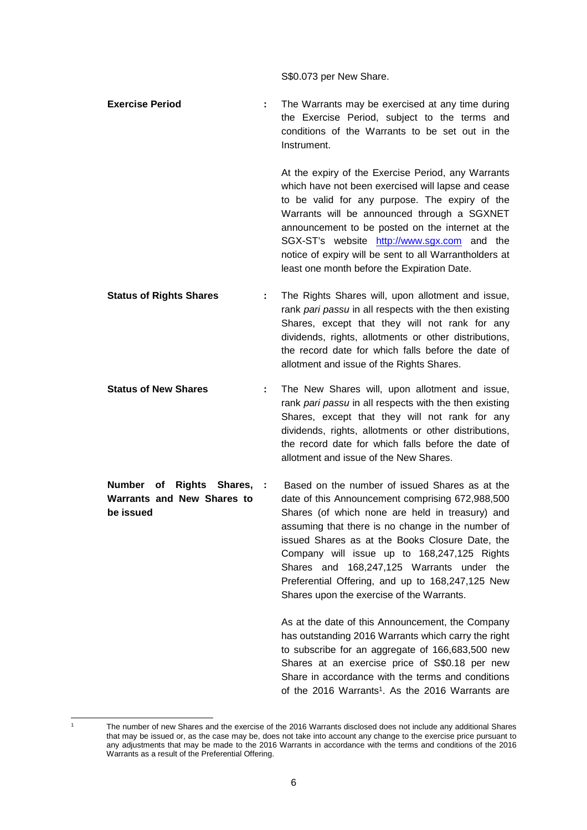S\$0.073 per New Share.

**Exercise Period :** The Warrants may be exercised at any time during the Exercise Period, subject to the terms and conditions of the Warrants to be set out in the Instrument.

> At the expiry of the Exercise Period, any Warrants which have not been exercised will lapse and cease to be valid for any purpose. The expiry of the Warrants will be announced through a SGXNET announcement to be posted on the internet at the SGX-ST's website http://www.sgx.com and the notice of expiry will be sent to all Warrantholders at least one month before the Expiration Date.

- **Status of Rights Shares :** The Rights Shares will, upon allotment and issue, rank *pari passu* in all respects with the then existing Shares, except that they will not rank for any dividends, rights, allotments or other distributions, the record date for which falls before the date of allotment and issue of the Rights Shares.
- **Status of New Shares :** The New Shares will, upon allotment and issue, rank *pari passu* in all respects with the then existing Shares, except that they will not rank for any dividends, rights, allotments or other distributions, the record date for which falls before the date of allotment and issue of the New Shares.
- **Number of Rights Shares, Warrants and New Shares to be issued :** Based on the number of issued Shares as at the date of this Announcement comprising 672,988,500 Shares (of which none are held in treasury) and assuming that there is no change in the number of issued Shares as at the Books Closure Date, the Company will issue up to 168,247,125 Rights Shares and 168,247,125 Warrants under the Preferential Offering, and up to 168,247,125 New Shares upon the exercise of the Warrants.

As at the date of this Announcement, the Company has outstanding 2016 Warrants which carry the right to subscribe for an aggregate of 166,683,500 new Shares at an exercise price of S\$0.18 per new Share in accordance with the terms and conditions of the 2016 Warrants<sup>1</sup>. As the 2016 Warrants are

<sup>1</sup> The number of new Shares and the exercise of the 2016 Warrants disclosed does not include any additional Shares that may be issued or, as the case may be, does not take into account any change to the exercise price pursuant to any adjustments that may be made to the 2016 Warrants in accordance with the terms and conditions of the 2016 Warrants as a result of the Preferential Offering.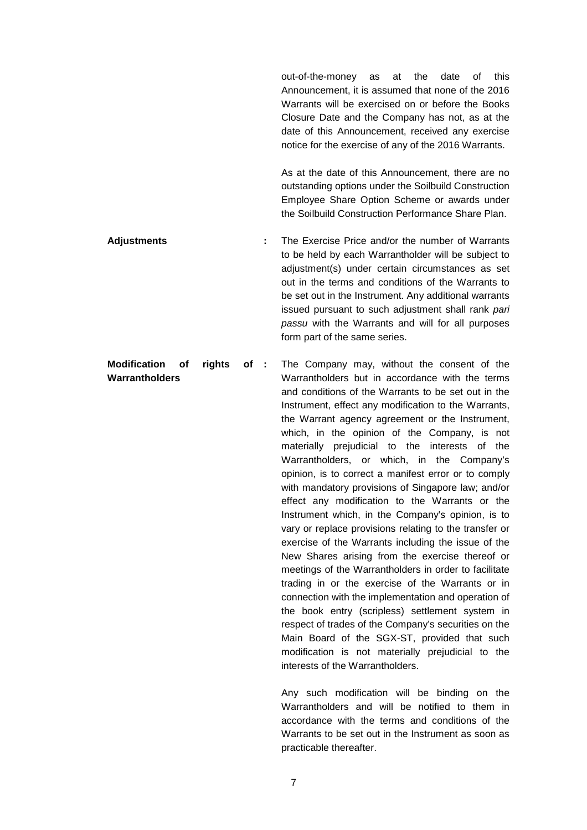out-of-the-money as at the date of this Announcement, it is assumed that none of the 2016 Warrants will be exercised on or before the Books Closure Date and the Company has not, as at the date of this Announcement, received any exercise notice for the exercise of any of the 2016 Warrants.

As at the date of this Announcement, there are no outstanding options under the Soilbuild Construction Employee Share Option Scheme or awards under the Soilbuild Construction Performance Share Plan.

**Adjustments :** The Exercise Price and/or the number of Warrants to be held by each Warrantholder will be subject to adjustment(s) under certain circumstances as set out in the terms and conditions of the Warrants to be set out in the Instrument. Any additional warrants issued pursuant to such adjustment shall rank *pari passu* with the Warrants and will for all purposes form part of the same series.

**Modification of rights of Warrantholders :** The Company may, without the consent of the Warrantholders but in accordance with the terms and conditions of the Warrants to be set out in the Instrument, effect any modification to the Warrants, the Warrant agency agreement or the Instrument, which, in the opinion of the Company, is not materially prejudicial to the interests of the Warrantholders, or which, in the Company's opinion, is to correct a manifest error or to comply with mandatory provisions of Singapore law; and/or effect any modification to the Warrants or the Instrument which, in the Company's opinion, is to vary or replace provisions relating to the transfer or exercise of the Warrants including the issue of the New Shares arising from the exercise thereof or meetings of the Warrantholders in order to facilitate trading in or the exercise of the Warrants or in connection with the implementation and operation of the book entry (scripless) settlement system in respect of trades of the Company's securities on the Main Board of the SGX-ST, provided that such modification is not materially prejudicial to the interests of the Warrantholders.

> Any such modification will be binding on the Warrantholders and will be notified to them in accordance with the terms and conditions of the Warrants to be set out in the Instrument as soon as practicable thereafter.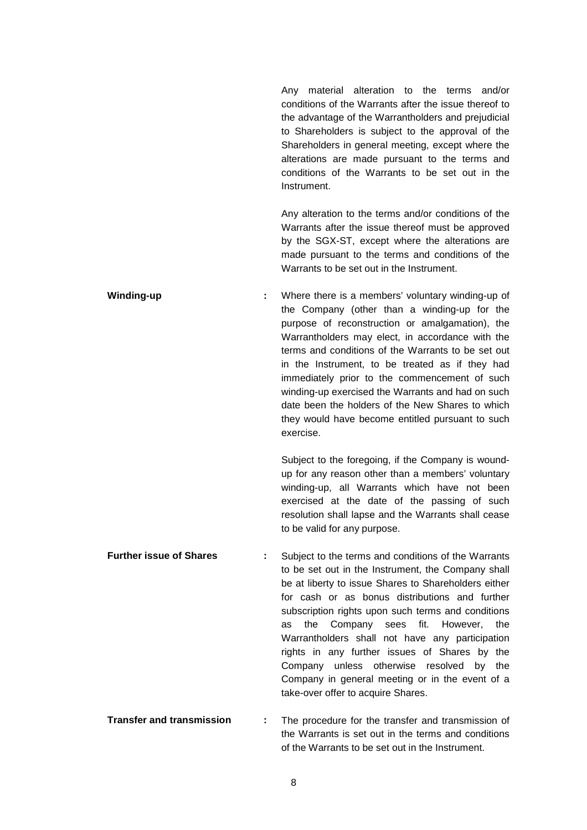Any material alteration to the terms and/or conditions of the Warrants after the issue thereof to the advantage of the Warrantholders and prejudicial to Shareholders is subject to the approval of the Shareholders in general meeting, except where the alterations are made pursuant to the terms and conditions of the Warrants to be set out in the Instrument.

Any alteration to the terms and/or conditions of the Warrants after the issue thereof must be approved by the SGX-ST, except where the alterations are made pursuant to the terms and conditions of the Warrants to be set out in the Instrument.

**Winding-up :** Where there is a members' voluntary winding-up of the Company (other than a winding-up for the purpose of reconstruction or amalgamation), the Warrantholders may elect, in accordance with the terms and conditions of the Warrants to be set out in the Instrument, to be treated as if they had immediately prior to the commencement of such winding-up exercised the Warrants and had on such date been the holders of the New Shares to which they would have become entitled pursuant to such exercise.

> Subject to the foregoing, if the Company is woundup for any reason other than a members' voluntary winding-up, all Warrants which have not been exercised at the date of the passing of such resolution shall lapse and the Warrants shall cease to be valid for any purpose.

- **Further issue of Shares :** Subject to the terms and conditions of the Warrants to be set out in the Instrument, the Company shall be at liberty to issue Shares to Shareholders either for cash or as bonus distributions and further subscription rights upon such terms and conditions as the Company sees fit. However, the Warrantholders shall not have any participation rights in any further issues of Shares by the Company unless otherwise resolved by the Company in general meeting or in the event of a take-over offer to acquire Shares.
- **Transfer and transmission :** The procedure for the transfer and transmission of the Warrants is set out in the terms and conditions of the Warrants to be set out in the Instrument.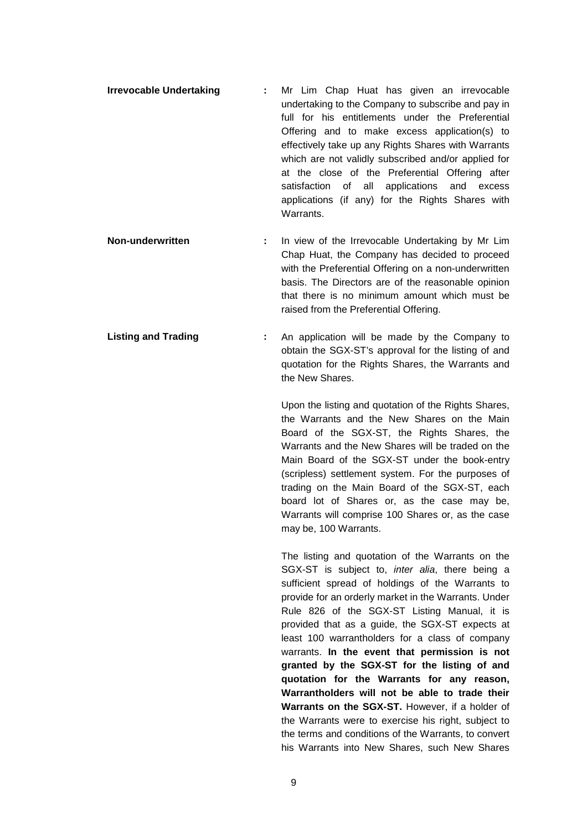- **Irrevocable Undertaking :** Mr Lim Chap Huat has given an irrevocable undertaking to the Company to subscribe and pay in full for his entitlements under the Preferential Offering and to make excess application(s) to effectively take up any Rights Shares with Warrants which are not validly subscribed and/or applied for at the close of the Preferential Offering after satisfaction of all applications and excess applications (if any) for the Rights Shares with Warrants.
- **Non-underwritten :** In view of the Irrevocable Undertaking by Mr Lim Chap Huat, the Company has decided to proceed with the Preferential Offering on a non-underwritten basis. The Directors are of the reasonable opinion that there is no minimum amount which must be raised from the Preferential Offering.
- **Listing and Trading :** An application will be made by the Company to obtain the SGX-ST's approval for the listing of and quotation for the Rights Shares, the Warrants and the New Shares.

Upon the listing and quotation of the Rights Shares, the Warrants and the New Shares on the Main Board of the SGX-ST, the Rights Shares, the Warrants and the New Shares will be traded on the Main Board of the SGX-ST under the book-entry (scripless) settlement system. For the purposes of trading on the Main Board of the SGX-ST, each board lot of Shares or, as the case may be, Warrants will comprise 100 Shares or, as the case may be, 100 Warrants.

The listing and quotation of the Warrants on the SGX-ST is subject to, *inter alia*, there being a sufficient spread of holdings of the Warrants to provide for an orderly market in the Warrants. Under Rule 826 of the SGX-ST Listing Manual, it is provided that as a guide, the SGX-ST expects at least 100 warrantholders for a class of company warrants. **In the event that permission is not granted by the SGX-ST for the listing of and quotation for the Warrants for any reason, Warrantholders will not be able to trade their Warrants on the SGX-ST.** However, if a holder of the Warrants were to exercise his right, subject to the terms and conditions of the Warrants, to convert his Warrants into New Shares, such New Shares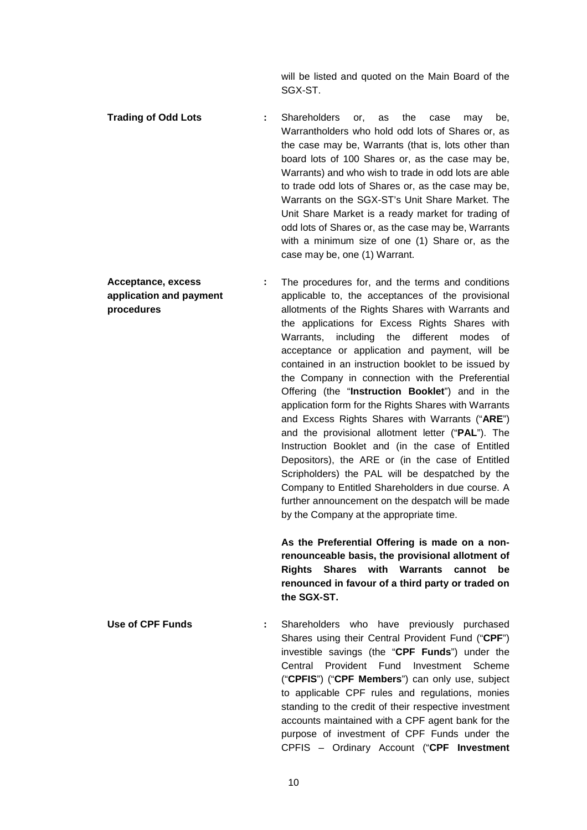will be listed and quoted on the Main Board of the SGX-ST.

- **Trading of Odd Lots :** Shareholders or, as the case may be, Warrantholders who hold odd lots of Shares or, as the case may be, Warrants (that is, lots other than board lots of 100 Shares or, as the case may be, Warrants) and who wish to trade in odd lots are able to trade odd lots of Shares or, as the case may be, Warrants on the SGX-ST's Unit Share Market. The Unit Share Market is a ready market for trading of odd lots of Shares or, as the case may be, Warrants with a minimum size of one (1) Share or, as the case may be, one (1) Warrant.
- **Acceptance, excess application and payment procedures :** The procedures for, and the terms and conditions applicable to, the acceptances of the provisional allotments of the Rights Shares with Warrants and the applications for Excess Rights Shares with Warrants, including the different modes of acceptance or application and payment, will be contained in an instruction booklet to be issued by the Company in connection with the Preferential Offering (the "**Instruction Booklet**") and in the application form for the Rights Shares with Warrants and Excess Rights Shares with Warrants ("**ARE**") and the provisional allotment letter ("**PAL**"). The Instruction Booklet and (in the case of Entitled Depositors), the ARE or (in the case of Entitled Scripholders) the PAL will be despatched by the Company to Entitled Shareholders in due course. A further announcement on the despatch will be made by the Company at the appropriate time.

**As the Preferential Offering is made on a nonrenounceable basis, the provisional allotment of Rights Shares with Warrants cannot be renounced in favour of a third party or traded on the SGX-ST.**

**Use of CPF Funds :** Shareholders who have previously purchased Shares using their Central Provident Fund ("**CPF**") investible savings (the "**CPF Funds**") under the Central Provident Fund Investment Scheme ("**CPFIS**") ("**CPF Members**") can only use, subject to applicable CPF rules and regulations, monies standing to the credit of their respective investment accounts maintained with a CPF agent bank for the purpose of investment of CPF Funds under the CPFIS – Ordinary Account ("**CPF Investment**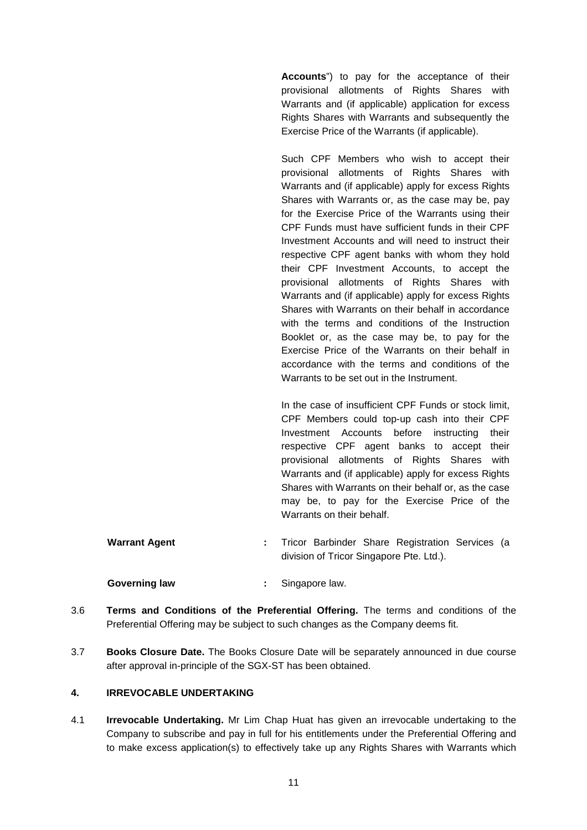**Accounts**") to pay for the acceptance of their provisional allotments of Rights Shares with Warrants and (if applicable) application for excess Rights Shares with Warrants and subsequently the Exercise Price of the Warrants (if applicable).

Such CPF Members who wish to accept their provisional allotments of Rights Shares with Warrants and (if applicable) apply for excess Rights Shares with Warrants or, as the case may be, pay for the Exercise Price of the Warrants using their CPF Funds must have sufficient funds in their CPF Investment Accounts and will need to instruct their respective CPF agent banks with whom they hold their CPF Investment Accounts, to accept the provisional allotments of Rights Shares with Warrants and (if applicable) apply for excess Rights Shares with Warrants on their behalf in accordance with the terms and conditions of the Instruction Booklet or, as the case may be, to pay for the Exercise Price of the Warrants on their behalf in accordance with the terms and conditions of the Warrants to be set out in the Instrument.

In the case of insufficient CPF Funds or stock limit, CPF Members could top-up cash into their CPF Investment Accounts before instructing their respective CPF agent banks to accept their provisional allotments of Rights Shares with Warrants and (if applicable) apply for excess Rights Shares with Warrants on their behalf or, as the case may be, to pay for the Exercise Price of the Warrants on their behalf.

**Warrant Agent :** Tricor Barbinder Share Registration Services (a division of Tricor Singapore Pte. Ltd.).

**Governing law :** Singapore law.

- 3.6 **Terms and Conditions of the Preferential Offering.** The terms and conditions of the Preferential Offering may be subject to such changes as the Company deems fit.
- 3.7 **Books Closure Date.** The Books Closure Date will be separately announced in due course after approval in-principle of the SGX-ST has been obtained.

# **4. IRREVOCABLE UNDERTAKING**

4.1 **Irrevocable Undertaking.** Mr Lim Chap Huat has given an irrevocable undertaking to the Company to subscribe and pay in full for his entitlements under the Preferential Offering and to make excess application(s) to effectively take up any Rights Shares with Warrants which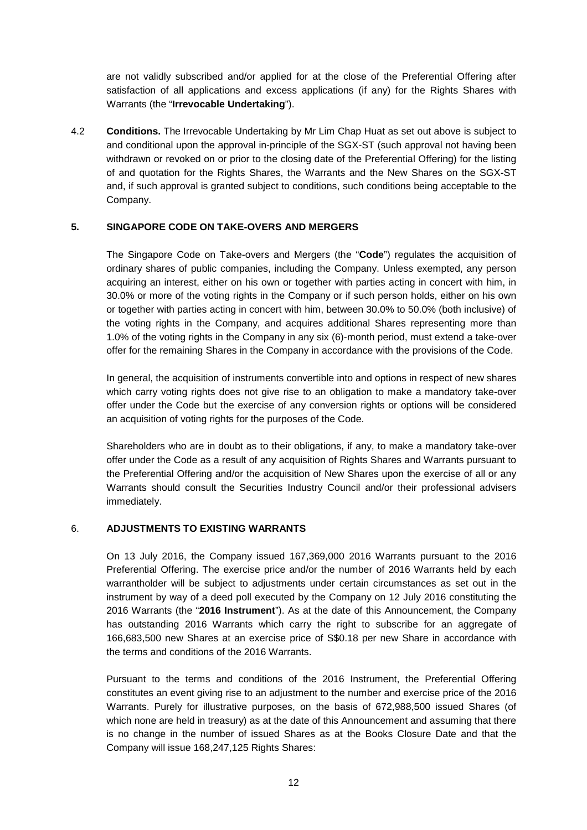are not validly subscribed and/or applied for at the close of the Preferential Offering after satisfaction of all applications and excess applications (if any) for the Rights Shares with Warrants (the "**Irrevocable Undertaking**").

4.2 **Conditions.** The Irrevocable Undertaking by Mr Lim Chap Huat as set out above is subject to and conditional upon the approval in-principle of the SGX-ST (such approval not having been withdrawn or revoked on or prior to the closing date of the Preferential Offering) for the listing of and quotation for the Rights Shares, the Warrants and the New Shares on the SGX-ST and, if such approval is granted subject to conditions, such conditions being acceptable to the Company.

# **5. SINGAPORE CODE ON TAKE-OVERS AND MERGERS**

The Singapore Code on Take-overs and Mergers (the "**Code**") regulates the acquisition of ordinary shares of public companies, including the Company. Unless exempted, any person acquiring an interest, either on his own or together with parties acting in concert with him, in 30.0% or more of the voting rights in the Company or if such person holds, either on his own or together with parties acting in concert with him, between 30.0% to 50.0% (both inclusive) of the voting rights in the Company, and acquires additional Shares representing more than 1.0% of the voting rights in the Company in any six (6)-month period, must extend a take-over offer for the remaining Shares in the Company in accordance with the provisions of the Code.

In general, the acquisition of instruments convertible into and options in respect of new shares which carry voting rights does not give rise to an obligation to make a mandatory take-over offer under the Code but the exercise of any conversion rights or options will be considered an acquisition of voting rights for the purposes of the Code.

Shareholders who are in doubt as to their obligations, if any, to make a mandatory take-over offer under the Code as a result of any acquisition of Rights Shares and Warrants pursuant to the Preferential Offering and/or the acquisition of New Shares upon the exercise of all or any Warrants should consult the Securities Industry Council and/or their professional advisers immediately.

# 6. **ADJUSTMENTS TO EXISTING WARRANTS**

On 13 July 2016, the Company issued 167,369,000 2016 Warrants pursuant to the 2016 Preferential Offering. The exercise price and/or the number of 2016 Warrants held by each warrantholder will be subject to adjustments under certain circumstances as set out in the instrument by way of a deed poll executed by the Company on 12 July 2016 constituting the 2016 Warrants (the "**2016 Instrument**"). As at the date of this Announcement, the Company has outstanding 2016 Warrants which carry the right to subscribe for an aggregate of 166,683,500 new Shares at an exercise price of S\$0.18 per new Share in accordance with the terms and conditions of the 2016 Warrants.

Pursuant to the terms and conditions of the 2016 Instrument, the Preferential Offering constitutes an event giving rise to an adjustment to the number and exercise price of the 2016 Warrants. Purely for illustrative purposes, on the basis of 672,988,500 issued Shares (of which none are held in treasury) as at the date of this Announcement and assuming that there is no change in the number of issued Shares as at the Books Closure Date and that the Company will issue 168,247,125 Rights Shares: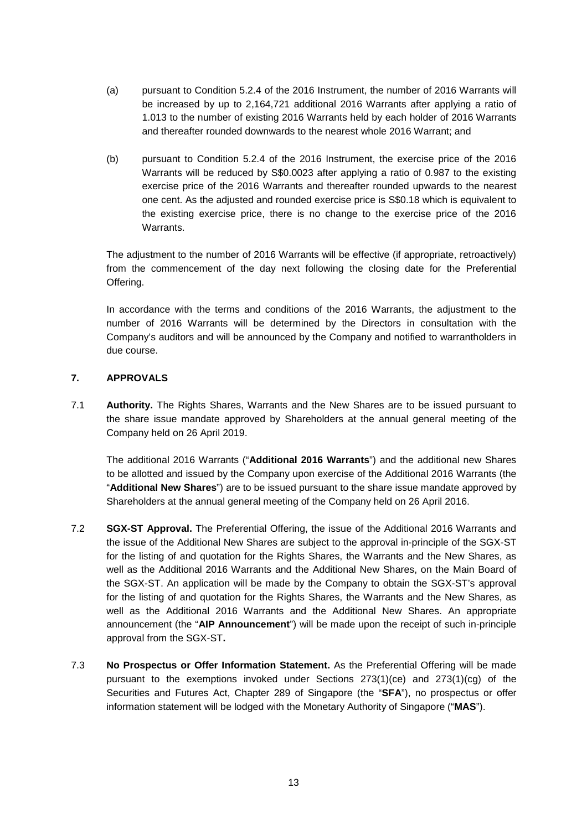- (a) pursuant to Condition 5.2.4 of the 2016 Instrument, the number of 2016 Warrants will be increased by up to 2,164,721 additional 2016 Warrants after applying a ratio of 1.013 to the number of existing 2016 Warrants held by each holder of 2016 Warrants and thereafter rounded downwards to the nearest whole 2016 Warrant; and
- (b) pursuant to Condition 5.2.4 of the 2016 Instrument, the exercise price of the 2016 Warrants will be reduced by S\$0.0023 after applying a ratio of 0.987 to the existing exercise price of the 2016 Warrants and thereafter rounded upwards to the nearest one cent. As the adjusted and rounded exercise price is S\$0.18 which is equivalent to the existing exercise price, there is no change to the exercise price of the 2016 Warrants.

The adjustment to the number of 2016 Warrants will be effective (if appropriate, retroactively) from the commencement of the day next following the closing date for the Preferential Offering.

In accordance with the terms and conditions of the 2016 Warrants, the adjustment to the number of 2016 Warrants will be determined by the Directors in consultation with the Company's auditors and will be announced by the Company and notified to warrantholders in due course.

# **7. APPROVALS**

7.1 **Authority.** The Rights Shares, Warrants and the New Shares are to be issued pursuant to the share issue mandate approved by Shareholders at the annual general meeting of the Company held on 26 April 2019.

The additional 2016 Warrants ("**Additional 2016 Warrants**") and the additional new Shares to be allotted and issued by the Company upon exercise of the Additional 2016 Warrants (the "**Additional New Shares**") are to be issued pursuant to the share issue mandate approved by Shareholders at the annual general meeting of the Company held on 26 April 2016.

- 7.2 **SGX-ST Approval.** The Preferential Offering, the issue of the Additional 2016 Warrants and the issue of the Additional New Shares are subject to the approval in-principle of the SGX-ST for the listing of and quotation for the Rights Shares, the Warrants and the New Shares, as well as the Additional 2016 Warrants and the Additional New Shares, on the Main Board of the SGX-ST. An application will be made by the Company to obtain the SGX-ST's approval for the listing of and quotation for the Rights Shares, the Warrants and the New Shares, as well as the Additional 2016 Warrants and the Additional New Shares. An appropriate announcement (the "**AIP Announcement**") will be made upon the receipt of such in-principle approval from the SGX-ST**.**
- 7.3 **No Prospectus or Offer Information Statement.** As the Preferential Offering will be made pursuant to the exemptions invoked under Sections 273(1)(ce) and 273(1)(cg) of the Securities and Futures Act, Chapter 289 of Singapore (the "**SFA**"), no prospectus or offer information statement will be lodged with the Monetary Authority of Singapore ("**MAS**").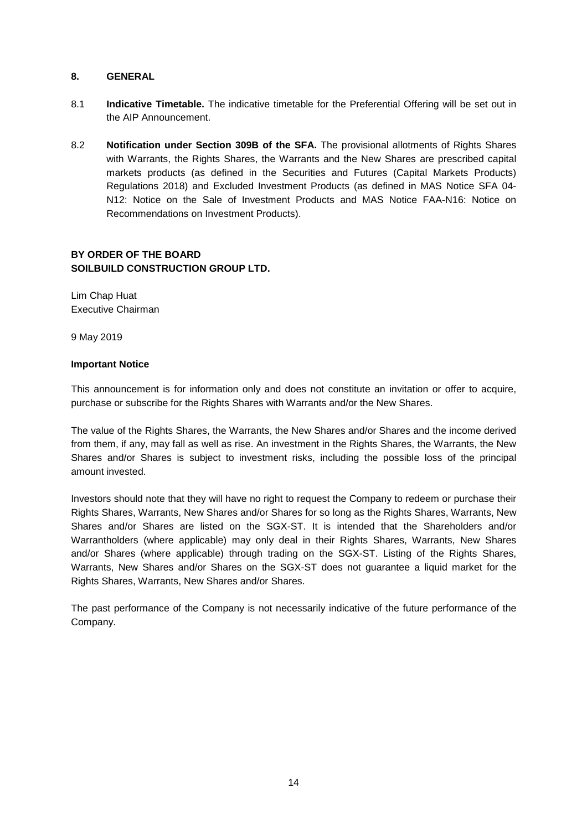#### **8. GENERAL**

- 8.1 **Indicative Timetable.** The indicative timetable for the Preferential Offering will be set out in the AIP Announcement.
- 8.2 **Notification under Section 309B of the SFA.** The provisional allotments of Rights Shares with Warrants, the Rights Shares, the Warrants and the New Shares are prescribed capital markets products (as defined in the Securities and Futures (Capital Markets Products) Regulations 2018) and Excluded Investment Products (as defined in MAS Notice SFA 04- N12: Notice on the Sale of Investment Products and MAS Notice FAA-N16: Notice on Recommendations on Investment Products).

# **BY ORDER OF THE BOARD SOILBUILD CONSTRUCTION GROUP LTD.**

Lim Chap Huat Executive Chairman

9 May 2019

#### **Important Notice**

This announcement is for information only and does not constitute an invitation or offer to acquire, purchase or subscribe for the Rights Shares with Warrants and/or the New Shares.

The value of the Rights Shares, the Warrants, the New Shares and/or Shares and the income derived from them, if any, may fall as well as rise. An investment in the Rights Shares, the Warrants, the New Shares and/or Shares is subject to investment risks, including the possible loss of the principal amount invested.

Investors should note that they will have no right to request the Company to redeem or purchase their Rights Shares, Warrants, New Shares and/or Shares for so long as the Rights Shares, Warrants, New Shares and/or Shares are listed on the SGX-ST. It is intended that the Shareholders and/or Warrantholders (where applicable) may only deal in their Rights Shares, Warrants, New Shares and/or Shares (where applicable) through trading on the SGX-ST. Listing of the Rights Shares, Warrants, New Shares and/or Shares on the SGX-ST does not guarantee a liquid market for the Rights Shares, Warrants, New Shares and/or Shares.

The past performance of the Company is not necessarily indicative of the future performance of the Company.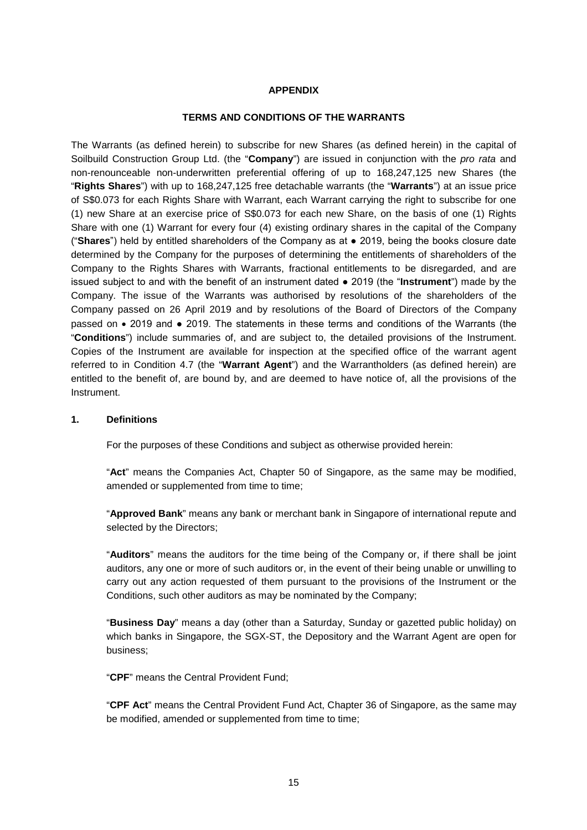#### **APPENDIX**

#### **TERMS AND CONDITIONS OF THE WARRANTS**

The Warrants (as defined herein) to subscribe for new Shares (as defined herein) in the capital of Soilbuild Construction Group Ltd. (the "**Company**") are issued in conjunction with the *pro rata* and non-renounceable non-underwritten preferential offering of up to 168,247,125 new Shares (the "**Rights Shares**") with up to 168,247,125 free detachable warrants (the "**Warrants**") at an issue price of S\$0.073 for each Rights Share with Warrant, each Warrant carrying the right to subscribe for one (1) new Share at an exercise price of S\$0.073 for each new Share, on the basis of one (1) Rights Share with one (1) Warrant for every four (4) existing ordinary shares in the capital of the Company ("**Shares**") held by entitled shareholders of the Company as at ● 2019, being the books closure date determined by the Company for the purposes of determining the entitlements of shareholders of the Company to the Rights Shares with Warrants, fractional entitlements to be disregarded, and are issued subject to and with the benefit of an instrument dated ● 2019 (the "**Instrument**") made by the Company. The issue of the Warrants was authorised by resolutions of the shareholders of the Company passed on 26 April 2019 and by resolutions of the Board of Directors of the Company passed on 2019 and ● 2019. The statements in these terms and conditions of the Warrants (the "**Conditions**") include summaries of, and are subject to, the detailed provisions of the Instrument. Copies of the Instrument are available for inspection at the specified office of the warrant agent referred to in Condition 4.7 (the "**Warrant Agent**") and the Warrantholders (as defined herein) are entitled to the benefit of, are bound by, and are deemed to have notice of, all the provisions of the Instrument.

#### **1. Definitions**

For the purposes of these Conditions and subject as otherwise provided herein:

"**Act**" means the Companies Act, Chapter 50 of Singapore, as the same may be modified, amended or supplemented from time to time;

"**Approved Bank**" means any bank or merchant bank in Singapore of international repute and selected by the Directors;

"**Auditors**" means the auditors for the time being of the Company or, if there shall be joint auditors, any one or more of such auditors or, in the event of their being unable or unwilling to carry out any action requested of them pursuant to the provisions of the Instrument or the Conditions, such other auditors as may be nominated by the Company;

"**Business Day**" means a day (other than a Saturday, Sunday or gazetted public holiday) on which banks in Singapore, the SGX-ST, the Depository and the Warrant Agent are open for business;

"**CPF**" means the Central Provident Fund;

"**CPF Act**" means the Central Provident Fund Act, Chapter 36 of Singapore, as the same may be modified, amended or supplemented from time to time: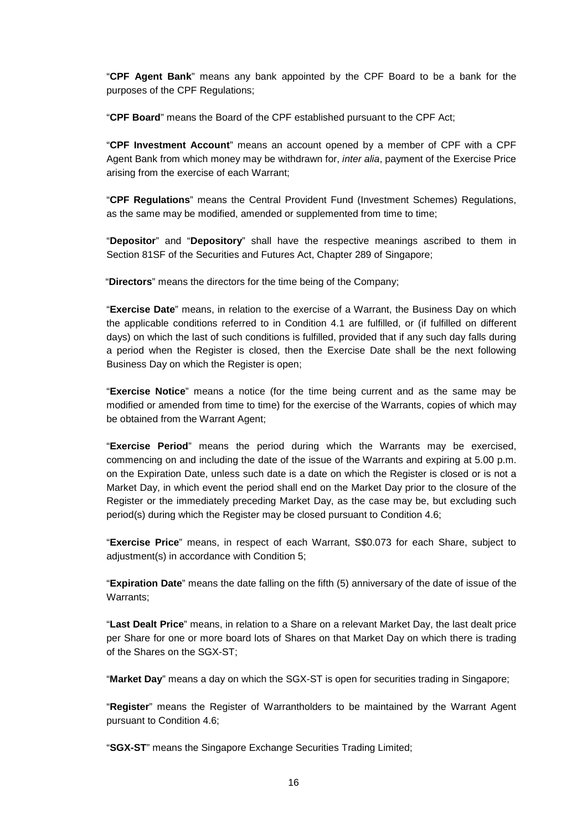"**CPF Agent Bank**" means any bank appointed by the CPF Board to be a bank for the purposes of the CPF Regulations;

"**CPF Board**" means the Board of the CPF established pursuant to the CPF Act;

"**CPF Investment Account**" means an account opened by a member of CPF with a CPF Agent Bank from which money may be withdrawn for, *inter alia*, payment of the Exercise Price arising from the exercise of each Warrant;

"**CPF Regulations**" means the Central Provident Fund (Investment Schemes) Regulations, as the same may be modified, amended or supplemented from time to time;

"**Depositor**" and "**Depository**" shall have the respective meanings ascribed to them in Section 81SF of the Securities and Futures Act, Chapter 289 of Singapore;

"**Directors**" means the directors for the time being of the Company;

"**Exercise Date**" means, in relation to the exercise of a Warrant, the Business Day on which the applicable conditions referred to in Condition 4.1 are fulfilled, or (if fulfilled on different days) on which the last of such conditions is fulfilled, provided that if any such day falls during a period when the Register is closed, then the Exercise Date shall be the next following Business Day on which the Register is open;

"**Exercise Notice**" means a notice (for the time being current and as the same may be modified or amended from time to time) for the exercise of the Warrants, copies of which may be obtained from the Warrant Agent;

"**Exercise Period**" means the period during which the Warrants may be exercised, commencing on and including the date of the issue of the Warrants and expiring at 5.00 p.m. on the Expiration Date, unless such date is a date on which the Register is closed or is not a Market Day, in which event the period shall end on the Market Day prior to the closure of the Register or the immediately preceding Market Day, as the case may be, but excluding such period(s) during which the Register may be closed pursuant to Condition 4.6;

"**Exercise Price**" means, in respect of each Warrant, S\$0.073 for each Share, subject to adjustment(s) in accordance with Condition 5;

"**Expiration Date**" means the date falling on the fifth (5) anniversary of the date of issue of the Warrants;

"**Last Dealt Price**" means, in relation to a Share on a relevant Market Day, the last dealt price per Share for one or more board lots of Shares on that Market Day on which there is trading of the Shares on the SGX-ST;

"**Market Day**" means a day on which the SGX-ST is open for securities trading in Singapore;

"**Register**" means the Register of Warrantholders to be maintained by the Warrant Agent pursuant to Condition 4.6;

"**SGX-ST**" means the Singapore Exchange Securities Trading Limited;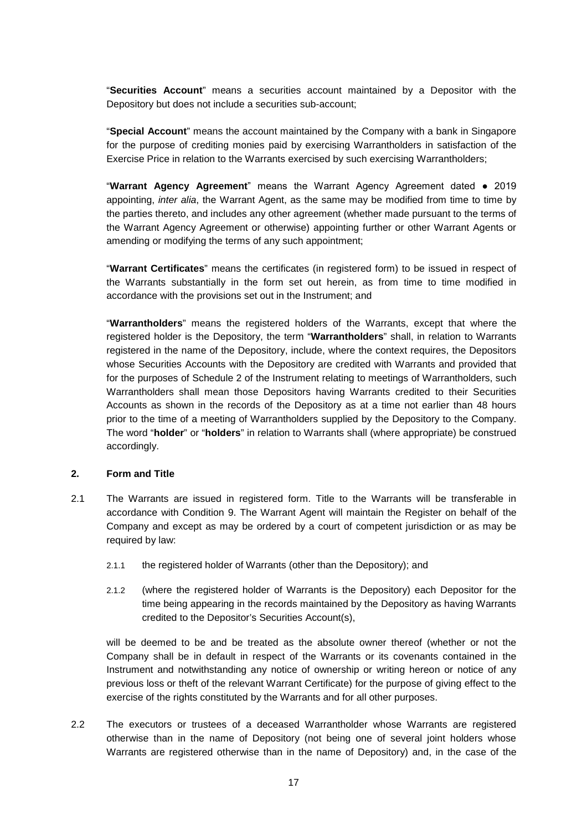"**Securities Account**" means a securities account maintained by a Depositor with the Depository but does not include a securities sub-account;

"**Special Account**" means the account maintained by the Company with a bank in Singapore for the purpose of crediting monies paid by exercising Warrantholders in satisfaction of the Exercise Price in relation to the Warrants exercised by such exercising Warrantholders;

"**Warrant Agency Agreement**" means the Warrant Agency Agreement dated ● 2019 appointing, *inter alia*, the Warrant Agent, as the same may be modified from time to time by the parties thereto, and includes any other agreement (whether made pursuant to the terms of the Warrant Agency Agreement or otherwise) appointing further or other Warrant Agents or amending or modifying the terms of any such appointment;

"**Warrant Certificates**" means the certificates (in registered form) to be issued in respect of the Warrants substantially in the form set out herein, as from time to time modified in accordance with the provisions set out in the Instrument; and

"**Warrantholders**" means the registered holders of the Warrants, except that where the registered holder is the Depository, the term "**Warrantholders**" shall, in relation to Warrants registered in the name of the Depository, include, where the context requires, the Depositors whose Securities Accounts with the Depository are credited with Warrants and provided that for the purposes of Schedule 2 of the Instrument relating to meetings of Warrantholders, such Warrantholders shall mean those Depositors having Warrants credited to their Securities Accounts as shown in the records of the Depository as at a time not earlier than 48 hours prior to the time of a meeting of Warrantholders supplied by the Depository to the Company. The word "**holder**" or "**holders**" in relation to Warrants shall (where appropriate) be construed accordingly.

#### **2. Form and Title**

- 2.1 The Warrants are issued in registered form. Title to the Warrants will be transferable in accordance with Condition 9. The Warrant Agent will maintain the Register on behalf of the Company and except as may be ordered by a court of competent jurisdiction or as may be required by law:
	- 2.1.1 the registered holder of Warrants (other than the Depository); and
	- 2.1.2 (where the registered holder of Warrants is the Depository) each Depositor for the time being appearing in the records maintained by the Depository as having Warrants credited to the Depositor's Securities Account(s),

will be deemed to be and be treated as the absolute owner thereof (whether or not the Company shall be in default in respect of the Warrants or its covenants contained in the Instrument and notwithstanding any notice of ownership or writing hereon or notice of any previous loss or theft of the relevant Warrant Certificate) for the purpose of giving effect to the exercise of the rights constituted by the Warrants and for all other purposes.

2.2 The executors or trustees of a deceased Warrantholder whose Warrants are registered otherwise than in the name of Depository (not being one of several joint holders whose Warrants are registered otherwise than in the name of Depository) and, in the case of the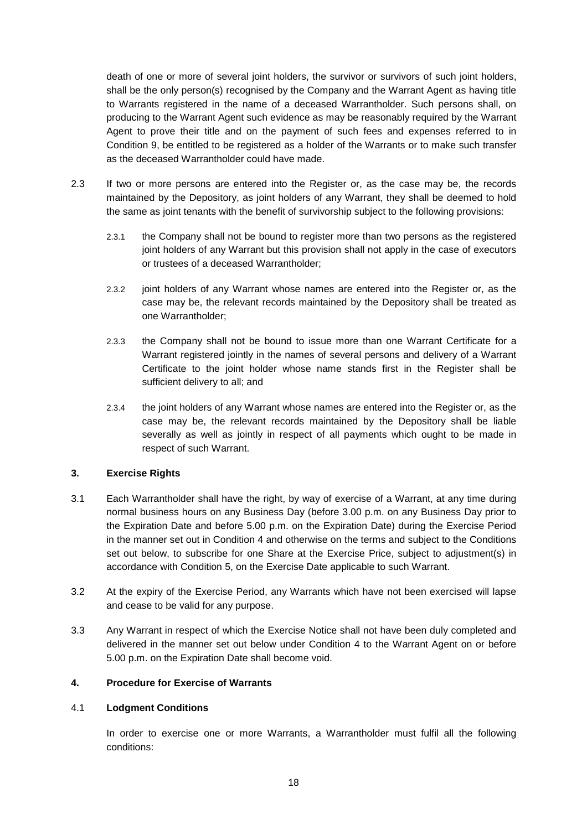death of one or more of several joint holders, the survivor or survivors of such joint holders, shall be the only person(s) recognised by the Company and the Warrant Agent as having title to Warrants registered in the name of a deceased Warrantholder. Such persons shall, on producing to the Warrant Agent such evidence as may be reasonably required by the Warrant Agent to prove their title and on the payment of such fees and expenses referred to in Condition 9, be entitled to be registered as a holder of the Warrants or to make such transfer as the deceased Warrantholder could have made.

- 2.3 If two or more persons are entered into the Register or, as the case may be, the records maintained by the Depository, as joint holders of any Warrant, they shall be deemed to hold the same as joint tenants with the benefit of survivorship subject to the following provisions:
	- 2.3.1 the Company shall not be bound to register more than two persons as the registered joint holders of any Warrant but this provision shall not apply in the case of executors or trustees of a deceased Warrantholder;
	- 2.3.2 joint holders of any Warrant whose names are entered into the Register or, as the case may be, the relevant records maintained by the Depository shall be treated as one Warrantholder;
	- 2.3.3 the Company shall not be bound to issue more than one Warrant Certificate for a Warrant registered jointly in the names of several persons and delivery of a Warrant Certificate to the joint holder whose name stands first in the Register shall be sufficient delivery to all; and
	- 2.3.4 the joint holders of any Warrant whose names are entered into the Register or, as the case may be, the relevant records maintained by the Depository shall be liable severally as well as jointly in respect of all payments which ought to be made in respect of such Warrant.

#### **3. Exercise Rights**

- 3.1 Each Warrantholder shall have the right, by way of exercise of a Warrant, at any time during normal business hours on any Business Day (before 3.00 p.m. on any Business Day prior to the Expiration Date and before 5.00 p.m. on the Expiration Date) during the Exercise Period in the manner set out in Condition 4 and otherwise on the terms and subject to the Conditions set out below, to subscribe for one Share at the Exercise Price, subject to adjustment(s) in accordance with Condition 5, on the Exercise Date applicable to such Warrant.
- 3.2 At the expiry of the Exercise Period, any Warrants which have not been exercised will lapse and cease to be valid for any purpose.
- 3.3 Any Warrant in respect of which the Exercise Notice shall not have been duly completed and delivered in the manner set out below under Condition 4 to the Warrant Agent on or before 5.00 p.m. on the Expiration Date shall become void.

#### **4. Procedure for Exercise of Warrants**

#### 4.1 **Lodgment Conditions**

In order to exercise one or more Warrants, a Warrantholder must fulfil all the following conditions: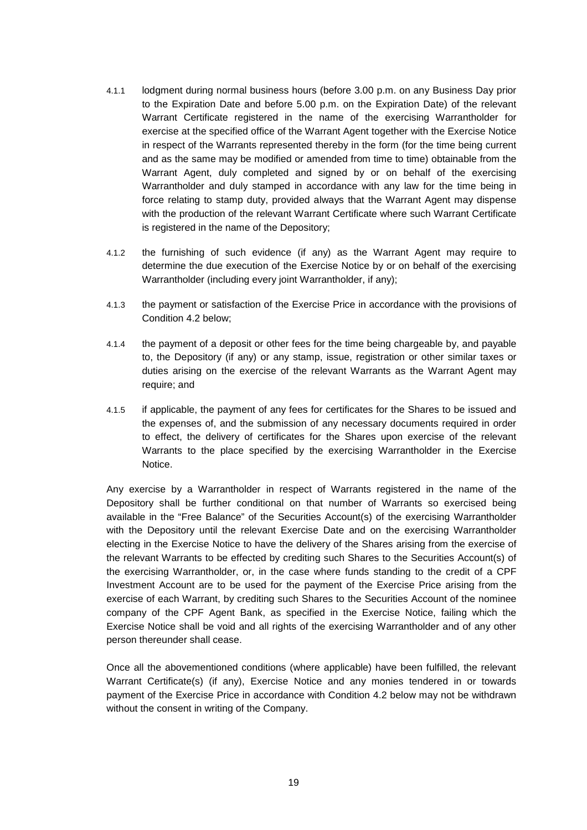- 4.1.1 lodgment during normal business hours (before 3.00 p.m. on any Business Day prior to the Expiration Date and before 5.00 p.m. on the Expiration Date) of the relevant Warrant Certificate registered in the name of the exercising Warrantholder for exercise at the specified office of the Warrant Agent together with the Exercise Notice in respect of the Warrants represented thereby in the form (for the time being current and as the same may be modified or amended from time to time) obtainable from the Warrant Agent, duly completed and signed by or on behalf of the exercising Warrantholder and duly stamped in accordance with any law for the time being in force relating to stamp duty, provided always that the Warrant Agent may dispense with the production of the relevant Warrant Certificate where such Warrant Certificate is registered in the name of the Depository;
- 4.1.2 the furnishing of such evidence (if any) as the Warrant Agent may require to determine the due execution of the Exercise Notice by or on behalf of the exercising Warrantholder (including every joint Warrantholder, if any);
- 4.1.3 the payment or satisfaction of the Exercise Price in accordance with the provisions of Condition 4.2 below;
- 4.1.4 the payment of a deposit or other fees for the time being chargeable by, and payable to, the Depository (if any) or any stamp, issue, registration or other similar taxes or duties arising on the exercise of the relevant Warrants as the Warrant Agent may require; and
- 4.1.5 if applicable, the payment of any fees for certificates for the Shares to be issued and the expenses of, and the submission of any necessary documents required in order to effect, the delivery of certificates for the Shares upon exercise of the relevant Warrants to the place specified by the exercising Warrantholder in the Exercise Notice.

Any exercise by a Warrantholder in respect of Warrants registered in the name of the Depository shall be further conditional on that number of Warrants so exercised being available in the "Free Balance" of the Securities Account(s) of the exercising Warrantholder with the Depository until the relevant Exercise Date and on the exercising Warrantholder electing in the Exercise Notice to have the delivery of the Shares arising from the exercise of the relevant Warrants to be effected by crediting such Shares to the Securities Account(s) of the exercising Warrantholder, or, in the case where funds standing to the credit of a CPF Investment Account are to be used for the payment of the Exercise Price arising from the exercise of each Warrant, by crediting such Shares to the Securities Account of the nominee company of the CPF Agent Bank, as specified in the Exercise Notice, failing which the Exercise Notice shall be void and all rights of the exercising Warrantholder and of any other person thereunder shall cease.

Once all the abovementioned conditions (where applicable) have been fulfilled, the relevant Warrant Certificate(s) (if any), Exercise Notice and any monies tendered in or towards payment of the Exercise Price in accordance with Condition 4.2 below may not be withdrawn without the consent in writing of the Company.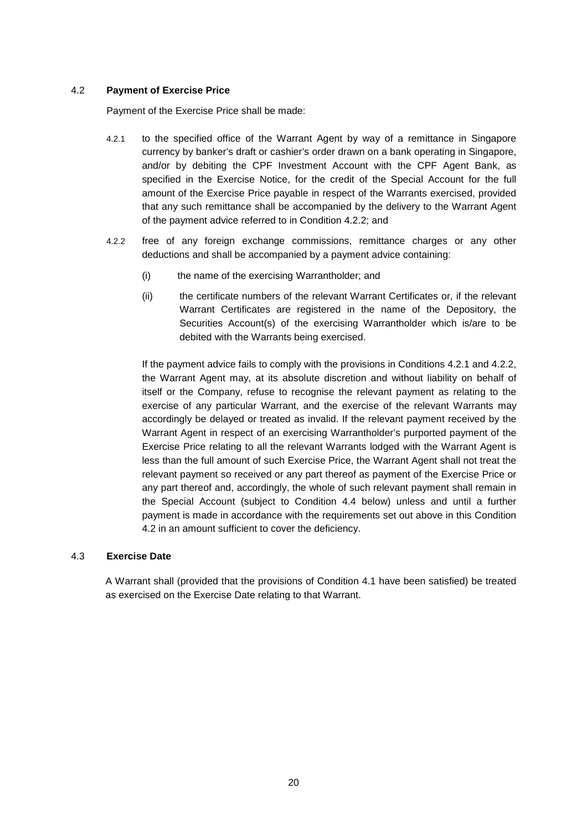#### 4.2 **Payment of Exercise Price**

Payment of the Exercise Price shall be made:

- 4.2.1 to the specified office of the Warrant Agent by way of a remittance in Singapore currency by banker's draft or cashier's order drawn on a bank operating in Singapore, and/or by debiting the CPF Investment Account with the CPF Agent Bank, as specified in the Exercise Notice, for the credit of the Special Account for the full amount of the Exercise Price payable in respect of the Warrants exercised, provided that any such remittance shall be accompanied by the delivery to the Warrant Agent of the payment advice referred to in Condition 4.2.2; and
- 4.2.2 free of any foreign exchange commissions, remittance charges or any other deductions and shall be accompanied by a payment advice containing:
	- (i) the name of the exercising Warrantholder; and
	- (ii) the certificate numbers of the relevant Warrant Certificates or, if the relevant Warrant Certificates are registered in the name of the Depository, the Securities Account(s) of the exercising Warrantholder which is/are to be debited with the Warrants being exercised.

If the payment advice fails to comply with the provisions in Conditions 4.2.1 and 4.2.2, the Warrant Agent may, at its absolute discretion and without liability on behalf of itself or the Company, refuse to recognise the relevant payment as relating to the exercise of any particular Warrant, and the exercise of the relevant Warrants may accordingly be delayed or treated as invalid. If the relevant payment received by the Warrant Agent in respect of an exercising Warrantholder's purported payment of the Exercise Price relating to all the relevant Warrants lodged with the Warrant Agent is less than the full amount of such Exercise Price, the Warrant Agent shall not treat the relevant payment so received or any part thereof as payment of the Exercise Price or any part thereof and, accordingly, the whole of such relevant payment shall remain in the Special Account (subject to Condition 4.4 below) unless and until a further payment is made in accordance with the requirements set out above in this Condition 4.2 in an amount sufficient to cover the deficiency.

### 4.3 **Exercise Date**

A Warrant shall (provided that the provisions of Condition 4.1 have been satisfied) be treated as exercised on the Exercise Date relating to that Warrant.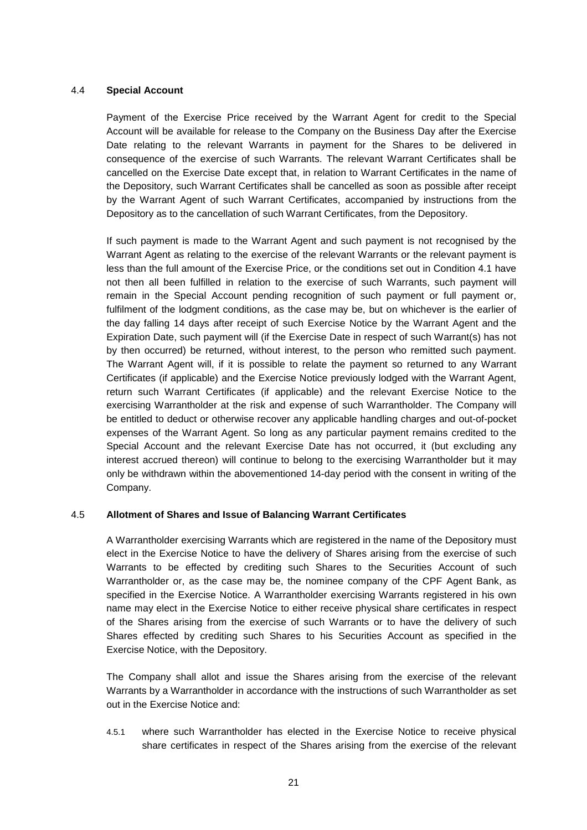#### 4.4 **Special Account**

Payment of the Exercise Price received by the Warrant Agent for credit to the Special Account will be available for release to the Company on the Business Day after the Exercise Date relating to the relevant Warrants in payment for the Shares to be delivered in consequence of the exercise of such Warrants. The relevant Warrant Certificates shall be cancelled on the Exercise Date except that, in relation to Warrant Certificates in the name of the Depository, such Warrant Certificates shall be cancelled as soon as possible after receipt by the Warrant Agent of such Warrant Certificates, accompanied by instructions from the Depository as to the cancellation of such Warrant Certificates, from the Depository.

If such payment is made to the Warrant Agent and such payment is not recognised by the Warrant Agent as relating to the exercise of the relevant Warrants or the relevant payment is less than the full amount of the Exercise Price, or the conditions set out in Condition 4.1 have not then all been fulfilled in relation to the exercise of such Warrants, such payment will remain in the Special Account pending recognition of such payment or full payment or, fulfilment of the lodgment conditions, as the case may be, but on whichever is the earlier of the day falling 14 days after receipt of such Exercise Notice by the Warrant Agent and the Expiration Date, such payment will (if the Exercise Date in respect of such Warrant(s) has not by then occurred) be returned, without interest, to the person who remitted such payment. The Warrant Agent will, if it is possible to relate the payment so returned to any Warrant Certificates (if applicable) and the Exercise Notice previously lodged with the Warrant Agent, return such Warrant Certificates (if applicable) and the relevant Exercise Notice to the exercising Warrantholder at the risk and expense of such Warrantholder. The Company will be entitled to deduct or otherwise recover any applicable handling charges and out-of-pocket expenses of the Warrant Agent. So long as any particular payment remains credited to the Special Account and the relevant Exercise Date has not occurred, it (but excluding any interest accrued thereon) will continue to belong to the exercising Warrantholder but it may only be withdrawn within the abovementioned 14-day period with the consent in writing of the Company.

#### 4.5 **Allotment of Shares and Issue of Balancing Warrant Certificates**

A Warrantholder exercising Warrants which are registered in the name of the Depository must elect in the Exercise Notice to have the delivery of Shares arising from the exercise of such Warrants to be effected by crediting such Shares to the Securities Account of such Warrantholder or, as the case may be, the nominee company of the CPF Agent Bank, as specified in the Exercise Notice. A Warrantholder exercising Warrants registered in his own name may elect in the Exercise Notice to either receive physical share certificates in respect of the Shares arising from the exercise of such Warrants or to have the delivery of such Shares effected by crediting such Shares to his Securities Account as specified in the Exercise Notice, with the Depository.

The Company shall allot and issue the Shares arising from the exercise of the relevant Warrants by a Warrantholder in accordance with the instructions of such Warrantholder as set out in the Exercise Notice and:

4.5.1 where such Warrantholder has elected in the Exercise Notice to receive physical share certificates in respect of the Shares arising from the exercise of the relevant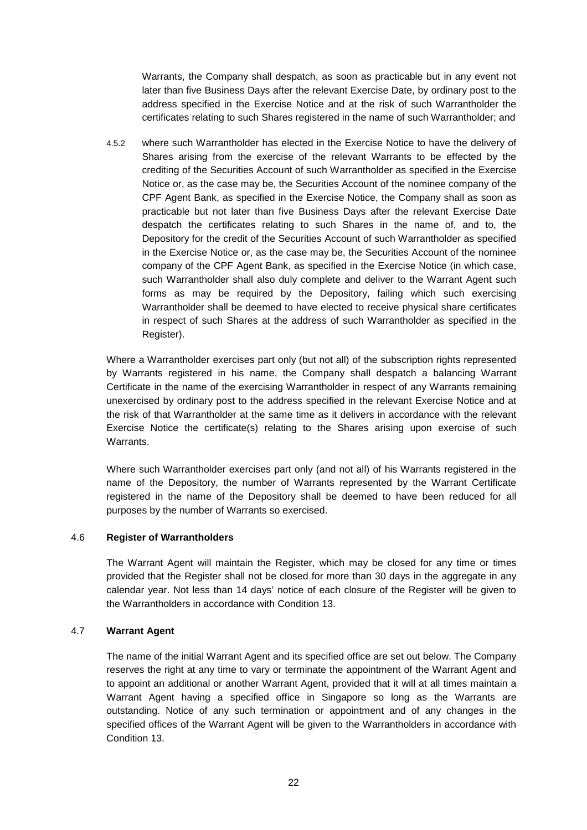Warrants, the Company shall despatch, as soon as practicable but in any event not later than five Business Days after the relevant Exercise Date, by ordinary post to the address specified in the Exercise Notice and at the risk of such Warrantholder the certificates relating to such Shares registered in the name of such Warrantholder; and

4.5.2 where such Warrantholder has elected in the Exercise Notice to have the delivery of Shares arising from the exercise of the relevant Warrants to be effected by the crediting of the Securities Account of such Warrantholder as specified in the Exercise Notice or, as the case may be, the Securities Account of the nominee company of the CPF Agent Bank, as specified in the Exercise Notice, the Company shall as soon as practicable but not later than five Business Days after the relevant Exercise Date despatch the certificates relating to such Shares in the name of, and to, the Depository for the credit of the Securities Account of such Warrantholder as specified in the Exercise Notice or, as the case may be, the Securities Account of the nominee company of the CPF Agent Bank, as specified in the Exercise Notice (in which case, such Warrantholder shall also duly complete and deliver to the Warrant Agent such forms as may be required by the Depository, failing which such exercising Warrantholder shall be deemed to have elected to receive physical share certificates in respect of such Shares at the address of such Warrantholder as specified in the Register).

Where a Warrantholder exercises part only (but not all) of the subscription rights represented by Warrants registered in his name, the Company shall despatch a balancing Warrant Certificate in the name of the exercising Warrantholder in respect of any Warrants remaining unexercised by ordinary post to the address specified in the relevant Exercise Notice and at the risk of that Warrantholder at the same time as it delivers in accordance with the relevant Exercise Notice the certificate(s) relating to the Shares arising upon exercise of such **Warrants** 

Where such Warrantholder exercises part only (and not all) of his Warrants registered in the name of the Depository, the number of Warrants represented by the Warrant Certificate registered in the name of the Depository shall be deemed to have been reduced for all purposes by the number of Warrants so exercised.

#### 4.6 **Register of Warrantholders**

The Warrant Agent will maintain the Register, which may be closed for any time or times provided that the Register shall not be closed for more than 30 days in the aggregate in any calendar year. Not less than 14 days' notice of each closure of the Register will be given to the Warrantholders in accordance with Condition 13.

#### 4.7 **Warrant Agent**

The name of the initial Warrant Agent and its specified office are set out below. The Company reserves the right at any time to vary or terminate the appointment of the Warrant Agent and to appoint an additional or another Warrant Agent, provided that it will at all times maintain a Warrant Agent having a specified office in Singapore so long as the Warrants are outstanding. Notice of any such termination or appointment and of any changes in the specified offices of the Warrant Agent will be given to the Warrantholders in accordance with Condition 13.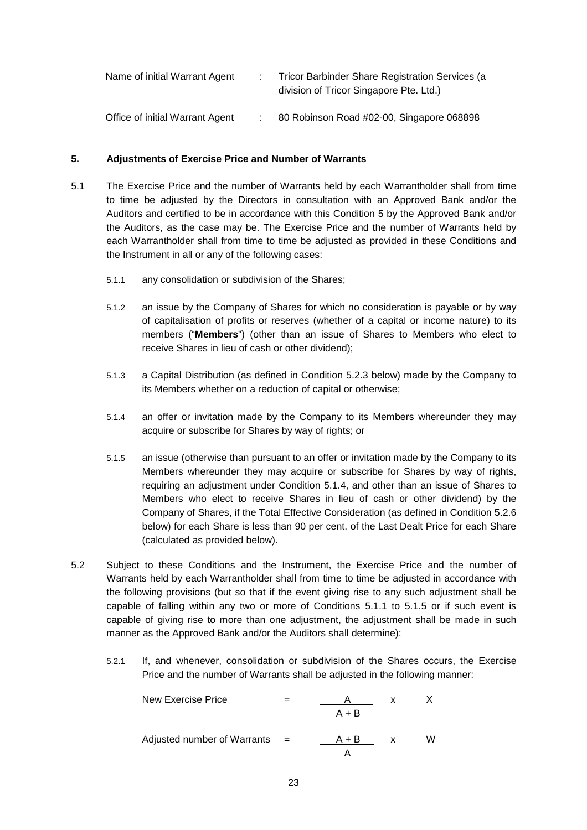| Name of initial Warrant Agent   | Tricor Barbinder Share Registration Services (a<br>division of Tricor Singapore Pte. Ltd.) |
|---------------------------------|--------------------------------------------------------------------------------------------|
| Office of initial Warrant Agent | 80 Robinson Road #02-00, Singapore 068898                                                  |

## **5. Adjustments of Exercise Price and Number of Warrants**

- 5.1 The Exercise Price and the number of Warrants held by each Warrantholder shall from time to time be adjusted by the Directors in consultation with an Approved Bank and/or the Auditors and certified to be in accordance with this Condition 5 by the Approved Bank and/or the Auditors, as the case may be. The Exercise Price and the number of Warrants held by each Warrantholder shall from time to time be adjusted as provided in these Conditions and the Instrument in all or any of the following cases:
	- 5.1.1 any consolidation or subdivision of the Shares;
	- 5.1.2 an issue by the Company of Shares for which no consideration is payable or by way of capitalisation of profits or reserves (whether of a capital or income nature) to its members ("**Members**") (other than an issue of Shares to Members who elect to receive Shares in lieu of cash or other dividend);
	- 5.1.3 a Capital Distribution (as defined in Condition 5.2.3 below) made by the Company to its Members whether on a reduction of capital or otherwise;
	- 5.1.4 an offer or invitation made by the Company to its Members whereunder they may acquire or subscribe for Shares by way of rights; or
	- 5.1.5 an issue (otherwise than pursuant to an offer or invitation made by the Company to its Members whereunder they may acquire or subscribe for Shares by way of rights, requiring an adjustment under Condition 5.1.4, and other than an issue of Shares to Members who elect to receive Shares in lieu of cash or other dividend) by the Company of Shares, if the Total Effective Consideration (as defined in Condition 5.2.6 below) for each Share is less than 90 per cent. of the Last Dealt Price for each Share (calculated as provided below).
- 5.2 Subject to these Conditions and the Instrument, the Exercise Price and the number of Warrants held by each Warrantholder shall from time to time be adjusted in accordance with the following provisions (but so that if the event giving rise to any such adjustment shall be capable of falling within any two or more of Conditions 5.1.1 to 5.1.5 or if such event is capable of giving rise to more than one adjustment, the adjustment shall be made in such manner as the Approved Bank and/or the Auditors shall determine):
	- 5.2.1 If, and whenever, consolidation or subdivision of the Shares occurs, the Exercise Price and the number of Warrants shall be adjusted in the following manner:

New Exercise Price = 
$$
\frac{A}{A+B}
$$
 x X  
\nAdjusted number of Warrants =  $\frac{A+B}{A}$  x W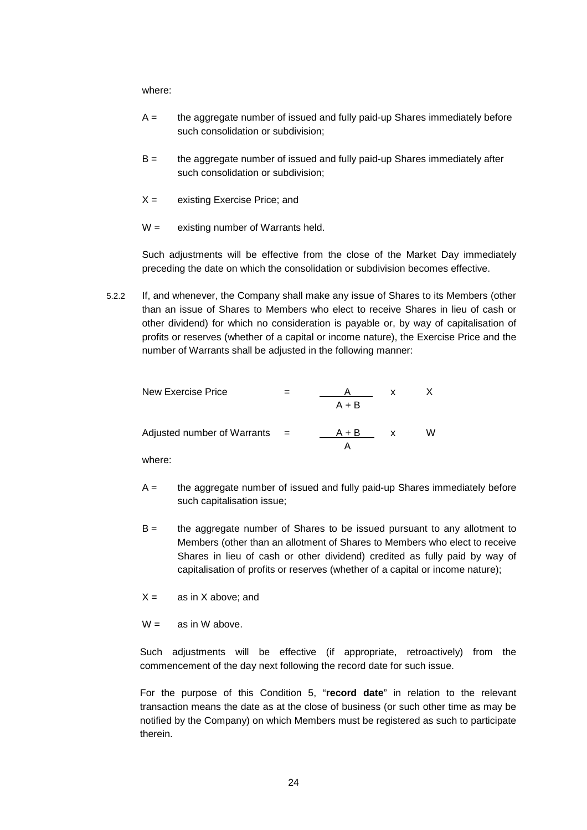where:

- $A =$  the aggregate number of issued and fully paid-up Shares immediately before such consolidation or subdivision;
- B = the aggregate number of issued and fully paid-up Shares immediately after such consolidation or subdivision;
- $X =$  existing Exercise Price; and
- $W =$  existing number of Warrants held.

Such adjustments will be effective from the close of the Market Day immediately preceding the date on which the consolidation or subdivision becomes effective.

5.2.2 If, and whenever, the Company shall make any issue of Shares to its Members (other than an issue of Shares to Members who elect to receive Shares in lieu of cash or other dividend) for which no consideration is payable or, by way of capitalisation of profits or reserves (whether of a capital or income nature), the Exercise Price and the number of Warrants shall be adjusted in the following manner:

| New Exercise Price          |                           |         | x |   |
|-----------------------------|---------------------------|---------|---|---|
|                             |                           | $A + B$ |   |   |
| Adjusted number of Warrants | $\mathbf{r} = \mathbf{r}$ | $A + B$ | x | W |

where:

- $A =$  the aggregate number of issued and fully paid-up Shares immediately before such capitalisation issue;
- B = the aggregate number of Shares to be issued pursuant to any allotment to Members (other than an allotment of Shares to Members who elect to receive Shares in lieu of cash or other dividend) credited as fully paid by way of capitalisation of profits or reserves (whether of a capital or income nature);
- $X =$  as in X above; and
- $W =$  as in W above.

Such adjustments will be effective (if appropriate, retroactively) from the commencement of the day next following the record date for such issue.

For the purpose of this Condition 5, "**record date**" in relation to the relevant transaction means the date as at the close of business (or such other time as may be notified by the Company) on which Members must be registered as such to participate therein.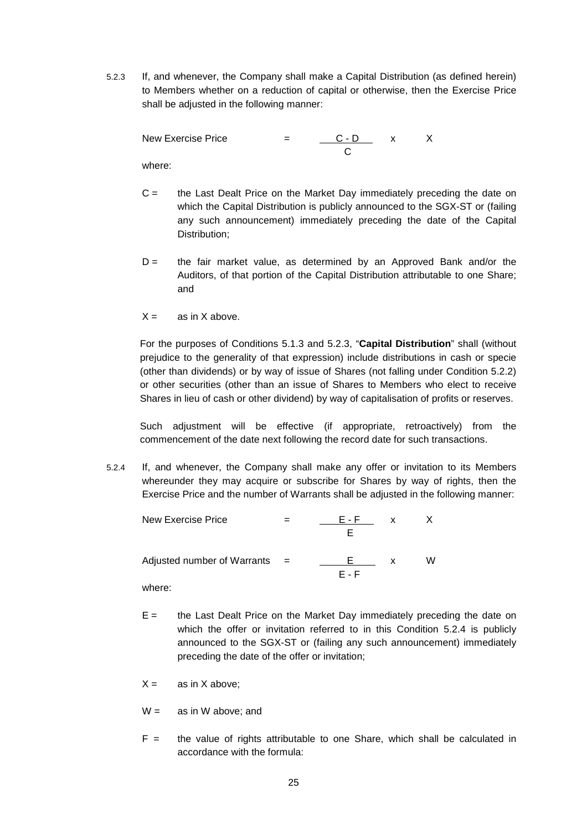5.2.3 If, and whenever, the Company shall make a Capital Distribution (as defined herein) to Members whether on a reduction of capital or otherwise, then the Exercise Price shall be adjusted in the following manner:

New Exercise Price  $\qquad \qquad = \qquad \qquad \frac{C - D}{ } \qquad \qquad x \qquad \qquad X$ C where:

- C = the Last Dealt Price on the Market Day immediately preceding the date on which the Capital Distribution is publicly announced to the SGX-ST or (failing any such announcement) immediately preceding the date of the Capital Distribution;
- $D =$  the fair market value, as determined by an Approved Bank and/or the Auditors, of that portion of the Capital Distribution attributable to one Share; and
- $X =$  as in X above.

For the purposes of Conditions 5.1.3 and 5.2.3, "**Capital Distribution**" shall (without prejudice to the generality of that expression) include distributions in cash or specie (other than dividends) or by way of issue of Shares (not falling under Condition 5.2.2) or other securities (other than an issue of Shares to Members who elect to receive Shares in lieu of cash or other dividend) by way of capitalisation of profits or reserves.

Such adjustment will be effective (if appropriate, retroactively) from the commencement of the date next following the record date for such transactions.

5.2.4 If, and whenever, the Company shall make any offer or invitation to its Members whereunder they may acquire or subscribe for Shares by way of rights, then the Exercise Price and the number of Warrants shall be adjusted in the following manner:

New Exercise Price  $=$   $\frac{\qquad E - F}{\qquad x}$  x E Adjusted number of Warrants  $=$   $\frac{\qquad E \qquad}{\qquad} x \qquad W$  $\frac{E}{F - F}$  x

where:

- E = the Last Dealt Price on the Market Day immediately preceding the date on which the offer or invitation referred to in this Condition 5.2.4 is publicly announced to the SGX-ST or (failing any such announcement) immediately preceding the date of the offer or invitation;
- $X =$  as in X above;
- $W =$  as in W above; and
- $F =$  the value of rights attributable to one Share, which shall be calculated in accordance with the formula: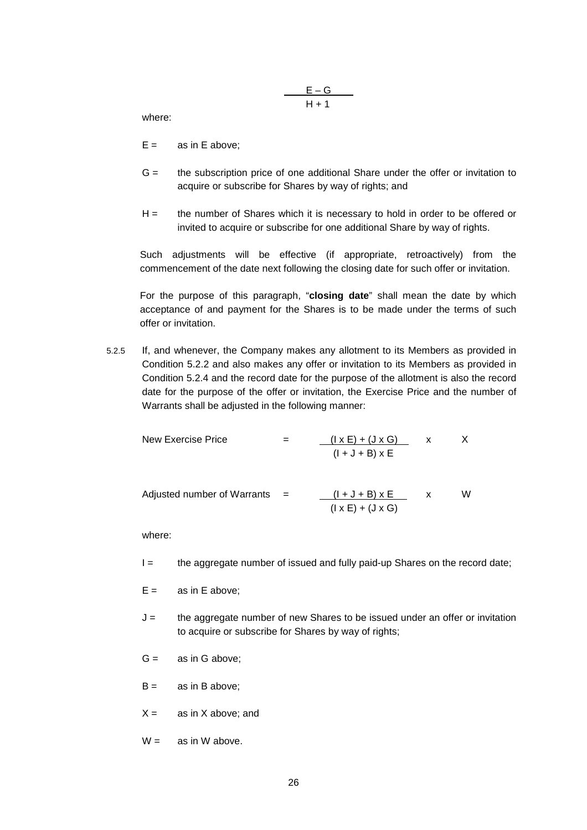$$
\frac{E-G}{H+1}
$$

where:

- $E =$  as in E above;
- G = the subscription price of one additional Share under the offer or invitation to acquire or subscribe for Shares by way of rights; and
- H = the number of Shares which it is necessary to hold in order to be offered or invited to acquire or subscribe for one additional Share by way of rights.

Such adjustments will be effective (if appropriate, retroactively) from the commencement of the date next following the closing date for such offer or invitation.

For the purpose of this paragraph, "**closing date**" shall mean the date by which acceptance of and payment for the Shares is to be made under the terms of such offer or invitation.

5.2.5 If, and whenever, the Company makes any allotment to its Members as provided in Condition 5.2.2 and also makes any offer or invitation to its Members as provided in Condition 5.2.4 and the record date for the purpose of the allotment is also the record date for the purpose of the offer or invitation, the Exercise Price and the number of Warrants shall be adjusted in the following manner:

New Exercise Price = 
$$
\frac{(\vert x \vert + (\vert x \vert))}{(\vert + \vert + \vert B) \vert x \vert E}
$$
 x X  
(
$$
\frac{(\vert x \vert + \vert A \vert) \vert x \vert}{(\vert + \vert B \vert) \vert x \vert E}
$$
 x W

where:

 $I =$  the aggregate number of issued and fully paid-up Shares on the record date;

 $(I \times E) + (J \times G)$ 

- $E =$  as in E above:
- $J =$  the aggregate number of new Shares to be issued under an offer or invitation to acquire or subscribe for Shares by way of rights;
- $G =$  as in G above;
- $B = \cos(\theta)$  as in B above:
- $X =$  as in X above; and
- $W =$  as in W above.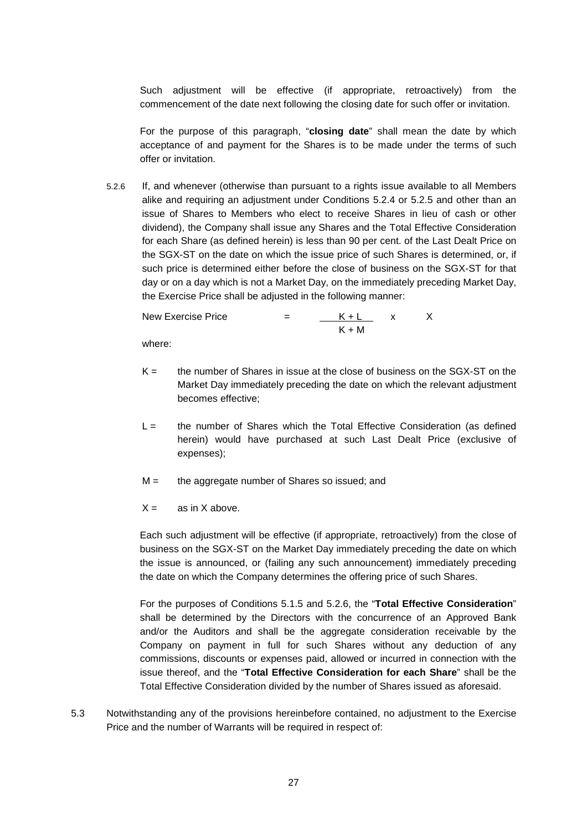Such adjustment will be effective (if appropriate, retroactively) from the commencement of the date next following the closing date for such offer or invitation.

For the purpose of this paragraph, "**closing date**" shall mean the date by which acceptance of and payment for the Shares is to be made under the terms of such offer or invitation.

5.2.6 If, and whenever (otherwise than pursuant to a rights issue available to all Members alike and requiring an adjustment under Conditions 5.2.4 or 5.2.5 and other than an issue of Shares to Members who elect to receive Shares in lieu of cash or other dividend), the Company shall issue any Shares and the Total Effective Consideration for each Share (as defined herein) is less than 90 per cent. of the Last Dealt Price on the SGX-ST on the date on which the issue price of such Shares is determined, or, if such price is determined either before the close of business on the SGX-ST for that day or on a day which is not a Market Day, on the immediately preceding Market Day, the Exercise Price shall be adjusted in the following manner:

New Exercise Price  $=$   $K + L$  x X  $K + M$ 

where:

- $K =$  the number of Shares in issue at the close of business on the SGX-ST on the Market Day immediately preceding the date on which the relevant adjustment becomes effective;
- L = the number of Shares which the Total Effective Consideration (as defined herein) would have purchased at such Last Dealt Price (exclusive of expenses);
- $M =$  the aggregate number of Shares so issued; and
- $X =$  as in X above.

Each such adjustment will be effective (if appropriate, retroactively) from the close of business on the SGX-ST on the Market Day immediately preceding the date on which the issue is announced, or (failing any such announcement) immediately preceding the date on which the Company determines the offering price of such Shares.

For the purposes of Conditions 5.1.5 and 5.2.6, the "**Total Effective Consideration**" shall be determined by the Directors with the concurrence of an Approved Bank and/or the Auditors and shall be the aggregate consideration receivable by the Company on payment in full for such Shares without any deduction of any commissions, discounts or expenses paid, allowed or incurred in connection with the issue thereof, and the "**Total Effective Consideration for each Share**" shall be the Total Effective Consideration divided by the number of Shares issued as aforesaid.

5.3 Notwithstanding any of the provisions hereinbefore contained, no adjustment to the Exercise Price and the number of Warrants will be required in respect of: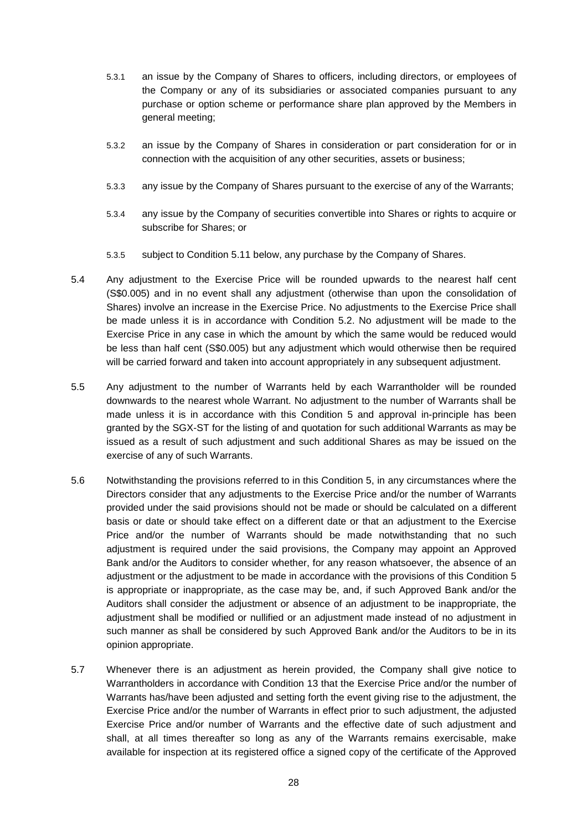- 5.3.1 an issue by the Company of Shares to officers, including directors, or employees of the Company or any of its subsidiaries or associated companies pursuant to any purchase or option scheme or performance share plan approved by the Members in general meeting;
- 5.3.2 an issue by the Company of Shares in consideration or part consideration for or in connection with the acquisition of any other securities, assets or business;
- 5.3.3 any issue by the Company of Shares pursuant to the exercise of any of the Warrants;
- 5.3.4 any issue by the Company of securities convertible into Shares or rights to acquire or subscribe for Shares; or
- 5.3.5 subject to Condition 5.11 below, any purchase by the Company of Shares.
- 5.4 Any adjustment to the Exercise Price will be rounded upwards to the nearest half cent (S\$0.005) and in no event shall any adjustment (otherwise than upon the consolidation of Shares) involve an increase in the Exercise Price. No adjustments to the Exercise Price shall be made unless it is in accordance with Condition 5.2. No adjustment will be made to the Exercise Price in any case in which the amount by which the same would be reduced would be less than half cent (S\$0.005) but any adjustment which would otherwise then be required will be carried forward and taken into account appropriately in any subsequent adjustment.
- 5.5 Any adjustment to the number of Warrants held by each Warrantholder will be rounded downwards to the nearest whole Warrant. No adjustment to the number of Warrants shall be made unless it is in accordance with this Condition 5 and approval in-principle has been granted by the SGX-ST for the listing of and quotation for such additional Warrants as may be issued as a result of such adjustment and such additional Shares as may be issued on the exercise of any of such Warrants.
- 5.6 Notwithstanding the provisions referred to in this Condition 5, in any circumstances where the Directors consider that any adjustments to the Exercise Price and/or the number of Warrants provided under the said provisions should not be made or should be calculated on a different basis or date or should take effect on a different date or that an adjustment to the Exercise Price and/or the number of Warrants should be made notwithstanding that no such adjustment is required under the said provisions, the Company may appoint an Approved Bank and/or the Auditors to consider whether, for any reason whatsoever, the absence of an adjustment or the adjustment to be made in accordance with the provisions of this Condition 5 is appropriate or inappropriate, as the case may be, and, if such Approved Bank and/or the Auditors shall consider the adjustment or absence of an adjustment to be inappropriate, the adjustment shall be modified or nullified or an adjustment made instead of no adjustment in such manner as shall be considered by such Approved Bank and/or the Auditors to be in its opinion appropriate.
- 5.7 Whenever there is an adjustment as herein provided, the Company shall give notice to Warrantholders in accordance with Condition 13 that the Exercise Price and/or the number of Warrants has/have been adjusted and setting forth the event giving rise to the adjustment, the Exercise Price and/or the number of Warrants in effect prior to such adjustment, the adjusted Exercise Price and/or number of Warrants and the effective date of such adjustment and shall, at all times thereafter so long as any of the Warrants remains exercisable, make available for inspection at its registered office a signed copy of the certificate of the Approved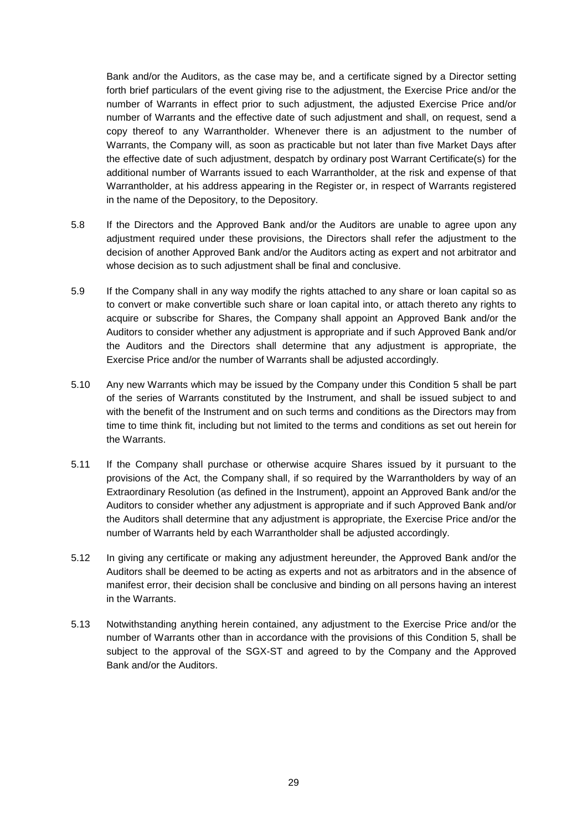Bank and/or the Auditors, as the case may be, and a certificate signed by a Director setting forth brief particulars of the event giving rise to the adjustment, the Exercise Price and/or the number of Warrants in effect prior to such adjustment, the adjusted Exercise Price and/or number of Warrants and the effective date of such adjustment and shall, on request, send a copy thereof to any Warrantholder. Whenever there is an adjustment to the number of Warrants, the Company will, as soon as practicable but not later than five Market Days after the effective date of such adjustment, despatch by ordinary post Warrant Certificate(s) for the additional number of Warrants issued to each Warrantholder, at the risk and expense of that Warrantholder, at his address appearing in the Register or, in respect of Warrants registered in the name of the Depository, to the Depository.

- 5.8 If the Directors and the Approved Bank and/or the Auditors are unable to agree upon any adjustment required under these provisions, the Directors shall refer the adjustment to the decision of another Approved Bank and/or the Auditors acting as expert and not arbitrator and whose decision as to such adjustment shall be final and conclusive.
- 5.9 If the Company shall in any way modify the rights attached to any share or loan capital so as to convert or make convertible such share or loan capital into, or attach thereto any rights to acquire or subscribe for Shares, the Company shall appoint an Approved Bank and/or the Auditors to consider whether any adjustment is appropriate and if such Approved Bank and/or the Auditors and the Directors shall determine that any adjustment is appropriate, the Exercise Price and/or the number of Warrants shall be adjusted accordingly.
- 5.10 Any new Warrants which may be issued by the Company under this Condition 5 shall be part of the series of Warrants constituted by the Instrument, and shall be issued subject to and with the benefit of the Instrument and on such terms and conditions as the Directors may from time to time think fit, including but not limited to the terms and conditions as set out herein for the Warrants.
- 5.11 If the Company shall purchase or otherwise acquire Shares issued by it pursuant to the provisions of the Act, the Company shall, if so required by the Warrantholders by way of an Extraordinary Resolution (as defined in the Instrument), appoint an Approved Bank and/or the Auditors to consider whether any adjustment is appropriate and if such Approved Bank and/or the Auditors shall determine that any adjustment is appropriate, the Exercise Price and/or the number of Warrants held by each Warrantholder shall be adjusted accordingly.
- 5.12 In giving any certificate or making any adjustment hereunder, the Approved Bank and/or the Auditors shall be deemed to be acting as experts and not as arbitrators and in the absence of manifest error, their decision shall be conclusive and binding on all persons having an interest in the Warrants.
- 5.13 Notwithstanding anything herein contained, any adjustment to the Exercise Price and/or the number of Warrants other than in accordance with the provisions of this Condition 5, shall be subject to the approval of the SGX-ST and agreed to by the Company and the Approved Bank and/or the Auditors.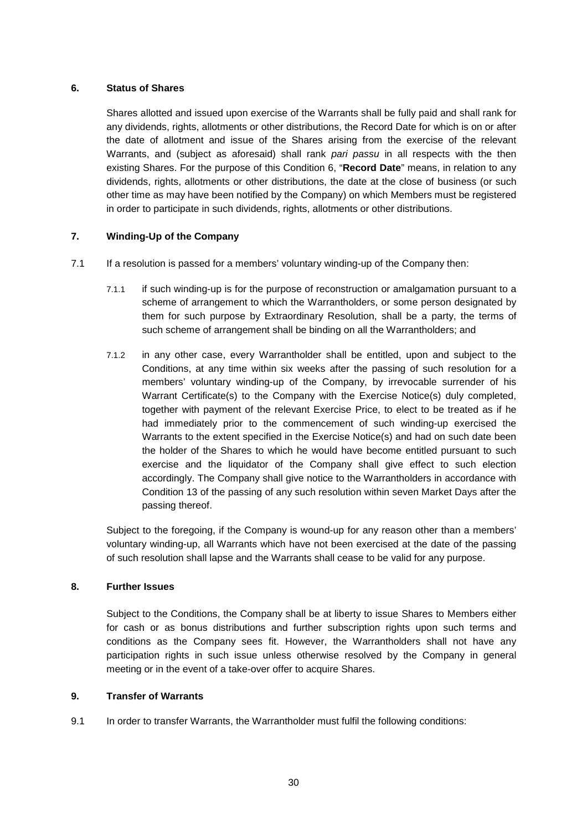## **6. Status of Shares**

Shares allotted and issued upon exercise of the Warrants shall be fully paid and shall rank for any dividends, rights, allotments or other distributions, the Record Date for which is on or after the date of allotment and issue of the Shares arising from the exercise of the relevant Warrants, and (subject as aforesaid) shall rank *pari passu* in all respects with the then existing Shares. For the purpose of this Condition 6, "**Record Date**" means, in relation to any dividends, rights, allotments or other distributions, the date at the close of business (or such other time as may have been notified by the Company) on which Members must be registered in order to participate in such dividends, rights, allotments or other distributions.

# **7. Winding-Up of the Company**

- 7.1 If a resolution is passed for a members' voluntary winding-up of the Company then:
	- 7.1.1 if such winding-up is for the purpose of reconstruction or amalgamation pursuant to a scheme of arrangement to which the Warrantholders, or some person designated by them for such purpose by Extraordinary Resolution, shall be a party, the terms of such scheme of arrangement shall be binding on all the Warrantholders; and
	- 7.1.2 in any other case, every Warrantholder shall be entitled, upon and subject to the Conditions, at any time within six weeks after the passing of such resolution for a members' voluntary winding-up of the Company, by irrevocable surrender of his Warrant Certificate(s) to the Company with the Exercise Notice(s) duly completed, together with payment of the relevant Exercise Price, to elect to be treated as if he had immediately prior to the commencement of such winding-up exercised the Warrants to the extent specified in the Exercise Notice(s) and had on such date been the holder of the Shares to which he would have become entitled pursuant to such exercise and the liquidator of the Company shall give effect to such election accordingly. The Company shall give notice to the Warrantholders in accordance with Condition 13 of the passing of any such resolution within seven Market Days after the passing thereof.

Subject to the foregoing, if the Company is wound-up for any reason other than a members' voluntary winding-up, all Warrants which have not been exercised at the date of the passing of such resolution shall lapse and the Warrants shall cease to be valid for any purpose.

#### **8. Further Issues**

Subject to the Conditions, the Company shall be at liberty to issue Shares to Members either for cash or as bonus distributions and further subscription rights upon such terms and conditions as the Company sees fit. However, the Warrantholders shall not have any participation rights in such issue unless otherwise resolved by the Company in general meeting or in the event of a take-over offer to acquire Shares.

#### **9. Transfer of Warrants**

9.1 In order to transfer Warrants, the Warrantholder must fulfil the following conditions: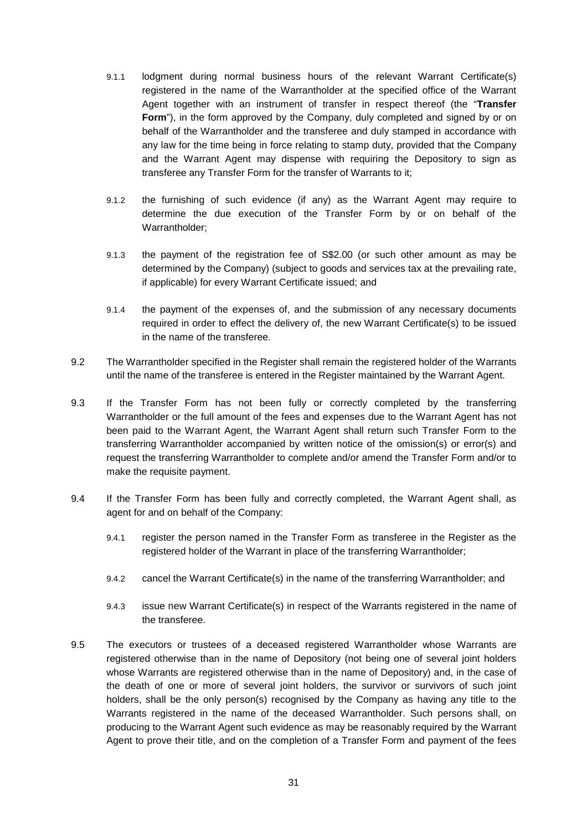- 9.1.1 lodgment during normal business hours of the relevant Warrant Certificate(s) registered in the name of the Warrantholder at the specified office of the Warrant Agent together with an instrument of transfer in respect thereof (the "**Transfer Form**"), in the form approved by the Company, duly completed and signed by or on behalf of the Warrantholder and the transferee and duly stamped in accordance with any law for the time being in force relating to stamp duty, provided that the Company and the Warrant Agent may dispense with requiring the Depository to sign as transferee any Transfer Form for the transfer of Warrants to it;
- 9.1.2 the furnishing of such evidence (if any) as the Warrant Agent may require to determine the due execution of the Transfer Form by or on behalf of the Warrantholder;
- 9.1.3 the payment of the registration fee of S\$2.00 (or such other amount as may be determined by the Company) (subject to goods and services tax at the prevailing rate, if applicable) for every Warrant Certificate issued; and
- 9.1.4 the payment of the expenses of, and the submission of any necessary documents required in order to effect the delivery of, the new Warrant Certificate(s) to be issued in the name of the transferee.
- 9.2 The Warrantholder specified in the Register shall remain the registered holder of the Warrants until the name of the transferee is entered in the Register maintained by the Warrant Agent.
- 9.3 If the Transfer Form has not been fully or correctly completed by the transferring Warrantholder or the full amount of the fees and expenses due to the Warrant Agent has not been paid to the Warrant Agent, the Warrant Agent shall return such Transfer Form to the transferring Warrantholder accompanied by written notice of the omission(s) or error(s) and request the transferring Warrantholder to complete and/or amend the Transfer Form and/or to make the requisite payment.
- 9.4 If the Transfer Form has been fully and correctly completed, the Warrant Agent shall, as agent for and on behalf of the Company:
	- 9.4.1 register the person named in the Transfer Form as transferee in the Register as the registered holder of the Warrant in place of the transferring Warrantholder;
	- 9.4.2 cancel the Warrant Certificate(s) in the name of the transferring Warrantholder; and
	- 9.4.3 issue new Warrant Certificate(s) in respect of the Warrants registered in the name of the transferee.
- 9.5 The executors or trustees of a deceased registered Warrantholder whose Warrants are registered otherwise than in the name of Depository (not being one of several joint holders whose Warrants are registered otherwise than in the name of Depository) and, in the case of the death of one or more of several joint holders, the survivor or survivors of such joint holders, shall be the only person(s) recognised by the Company as having any title to the Warrants registered in the name of the deceased Warrantholder. Such persons shall, on producing to the Warrant Agent such evidence as may be reasonably required by the Warrant Agent to prove their title, and on the completion of a Transfer Form and payment of the fees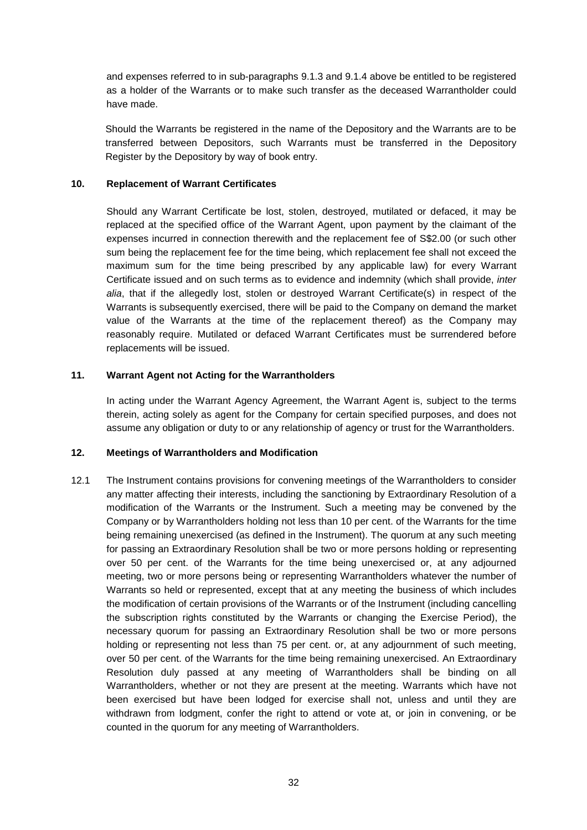and expenses referred to in sub-paragraphs 9.1.3 and 9.1.4 above be entitled to be registered as a holder of the Warrants or to make such transfer as the deceased Warrantholder could have made.

Should the Warrants be registered in the name of the Depository and the Warrants are to be transferred between Depositors, such Warrants must be transferred in the Depository Register by the Depository by way of book entry.

## **10. Replacement of Warrant Certificates**

Should any Warrant Certificate be lost, stolen, destroyed, mutilated or defaced, it may be replaced at the specified office of the Warrant Agent, upon payment by the claimant of the expenses incurred in connection therewith and the replacement fee of S\$2.00 (or such other sum being the replacement fee for the time being, which replacement fee shall not exceed the maximum sum for the time being prescribed by any applicable law) for every Warrant Certificate issued and on such terms as to evidence and indemnity (which shall provide, *inter alia*, that if the allegedly lost, stolen or destroyed Warrant Certificate(s) in respect of the Warrants is subsequently exercised, there will be paid to the Company on demand the market value of the Warrants at the time of the replacement thereof) as the Company may reasonably require. Mutilated or defaced Warrant Certificates must be surrendered before replacements will be issued.

# **11. Warrant Agent not Acting for the Warrantholders**

In acting under the Warrant Agency Agreement, the Warrant Agent is, subject to the terms therein, acting solely as agent for the Company for certain specified purposes, and does not assume any obligation or duty to or any relationship of agency or trust for the Warrantholders.

#### **12. Meetings of Warrantholders and Modification**

12.1 The Instrument contains provisions for convening meetings of the Warrantholders to consider any matter affecting their interests, including the sanctioning by Extraordinary Resolution of a modification of the Warrants or the Instrument. Such a meeting may be convened by the Company or by Warrantholders holding not less than 10 per cent. of the Warrants for the time being remaining unexercised (as defined in the Instrument). The quorum at any such meeting for passing an Extraordinary Resolution shall be two or more persons holding or representing over 50 per cent. of the Warrants for the time being unexercised or, at any adjourned meeting, two or more persons being or representing Warrantholders whatever the number of Warrants so held or represented, except that at any meeting the business of which includes the modification of certain provisions of the Warrants or of the Instrument (including cancelling the subscription rights constituted by the Warrants or changing the Exercise Period), the necessary quorum for passing an Extraordinary Resolution shall be two or more persons holding or representing not less than 75 per cent. or, at any adjournment of such meeting, over 50 per cent. of the Warrants for the time being remaining unexercised. An Extraordinary Resolution duly passed at any meeting of Warrantholders shall be binding on all Warrantholders, whether or not they are present at the meeting. Warrants which have not been exercised but have been lodged for exercise shall not, unless and until they are withdrawn from lodgment, confer the right to attend or vote at, or join in convening, or be counted in the quorum for any meeting of Warrantholders.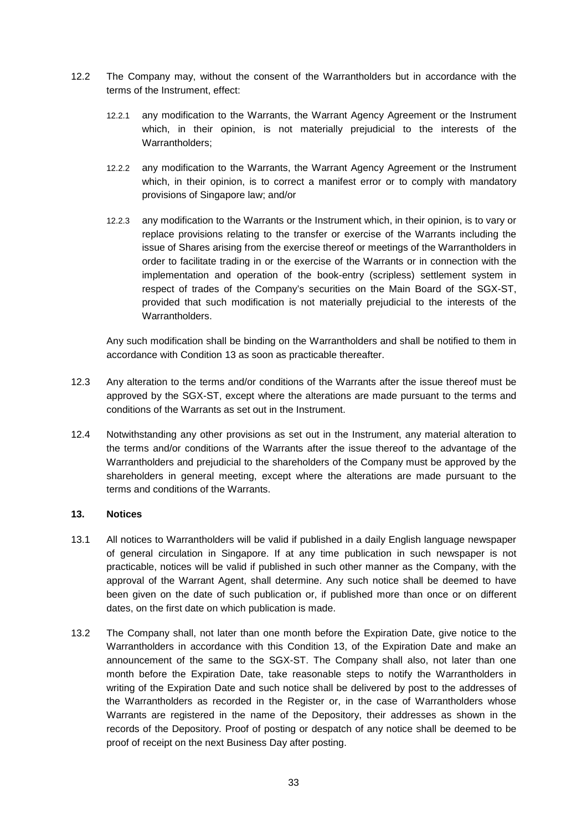- 12.2 The Company may, without the consent of the Warrantholders but in accordance with the terms of the Instrument, effect:
	- 12.2.1 any modification to the Warrants, the Warrant Agency Agreement or the Instrument which, in their opinion, is not materially prejudicial to the interests of the Warrantholders;
	- 12.2.2 any modification to the Warrants, the Warrant Agency Agreement or the Instrument which, in their opinion, is to correct a manifest error or to comply with mandatory provisions of Singapore law; and/or
	- 12.2.3 any modification to the Warrants or the Instrument which, in their opinion, is to vary or replace provisions relating to the transfer or exercise of the Warrants including the issue of Shares arising from the exercise thereof or meetings of the Warrantholders in order to facilitate trading in or the exercise of the Warrants or in connection with the implementation and operation of the book-entry (scripless) settlement system in respect of trades of the Company's securities on the Main Board of the SGX-ST, provided that such modification is not materially prejudicial to the interests of the Warrantholders.

Any such modification shall be binding on the Warrantholders and shall be notified to them in accordance with Condition 13 as soon as practicable thereafter.

- 12.3 Any alteration to the terms and/or conditions of the Warrants after the issue thereof must be approved by the SGX-ST, except where the alterations are made pursuant to the terms and conditions of the Warrants as set out in the Instrument.
- 12.4 Notwithstanding any other provisions as set out in the Instrument, any material alteration to the terms and/or conditions of the Warrants after the issue thereof to the advantage of the Warrantholders and prejudicial to the shareholders of the Company must be approved by the shareholders in general meeting, except where the alterations are made pursuant to the terms and conditions of the Warrants.

#### **13. Notices**

- 13.1 All notices to Warrantholders will be valid if published in a daily English language newspaper of general circulation in Singapore. If at any time publication in such newspaper is not practicable, notices will be valid if published in such other manner as the Company, with the approval of the Warrant Agent, shall determine. Any such notice shall be deemed to have been given on the date of such publication or, if published more than once or on different dates, on the first date on which publication is made.
- 13.2 The Company shall, not later than one month before the Expiration Date, give notice to the Warrantholders in accordance with this Condition 13, of the Expiration Date and make an announcement of the same to the SGX-ST. The Company shall also, not later than one month before the Expiration Date, take reasonable steps to notify the Warrantholders in writing of the Expiration Date and such notice shall be delivered by post to the addresses of the Warrantholders as recorded in the Register or, in the case of Warrantholders whose Warrants are registered in the name of the Depository, their addresses as shown in the records of the Depository. Proof of posting or despatch of any notice shall be deemed to be proof of receipt on the next Business Day after posting.